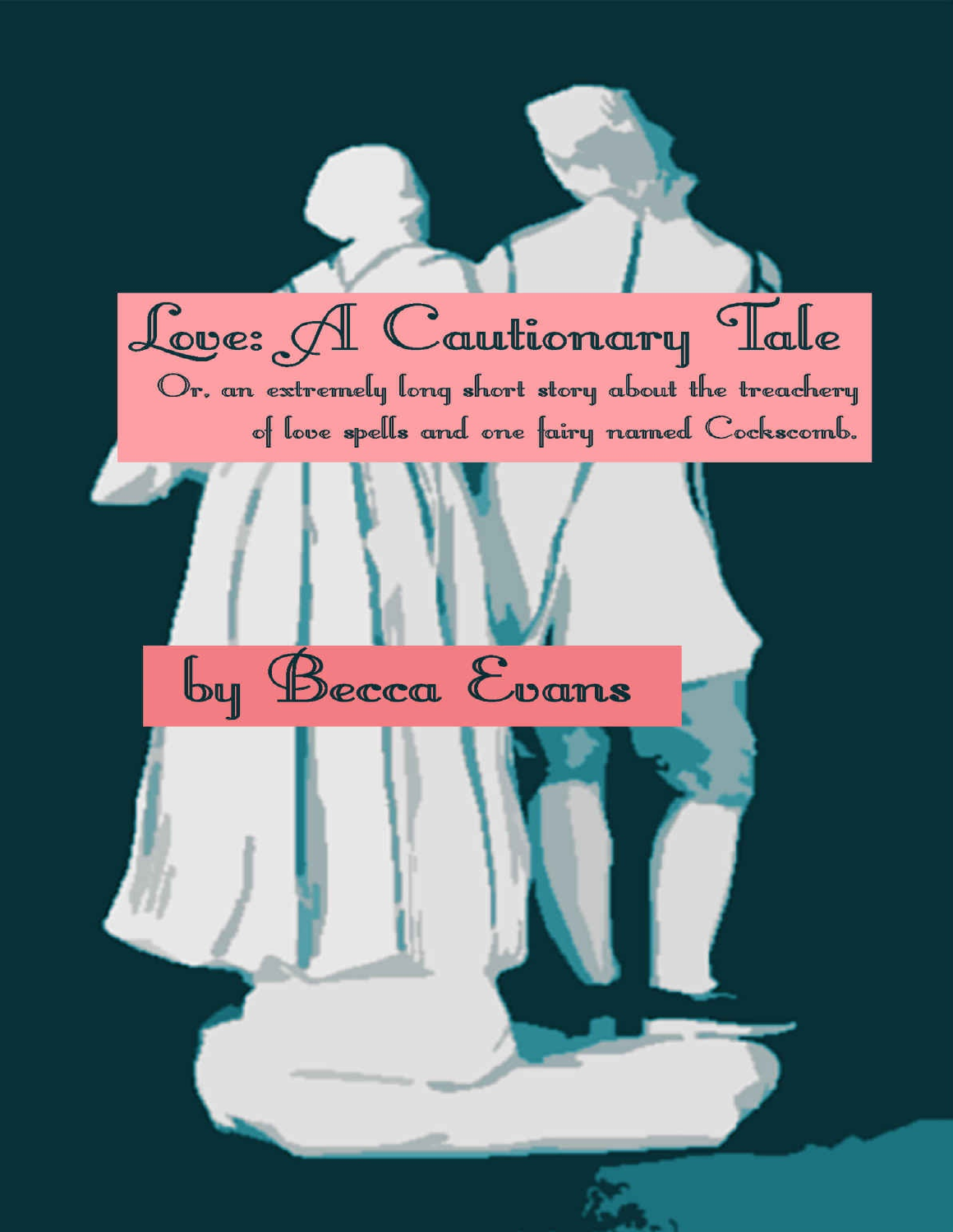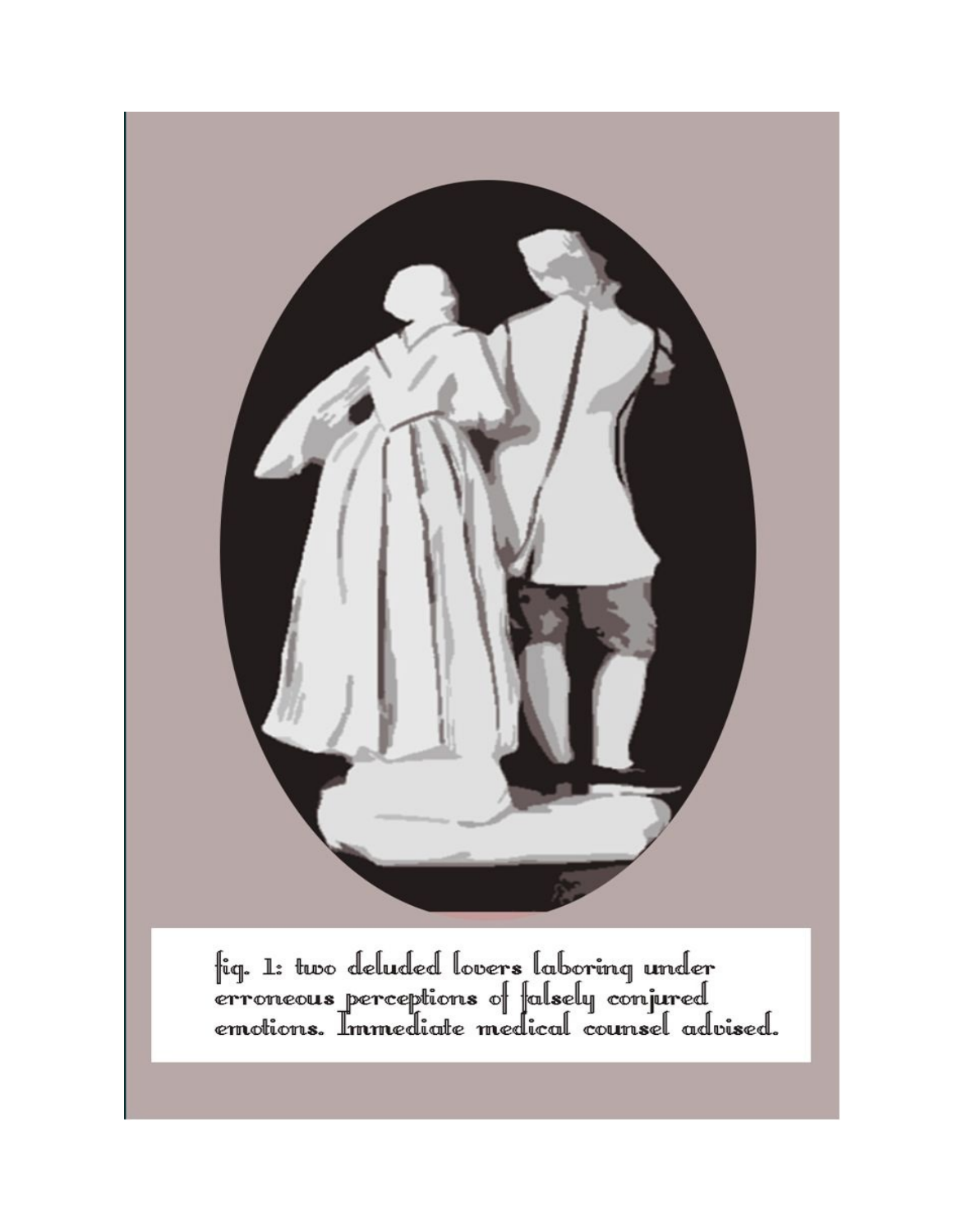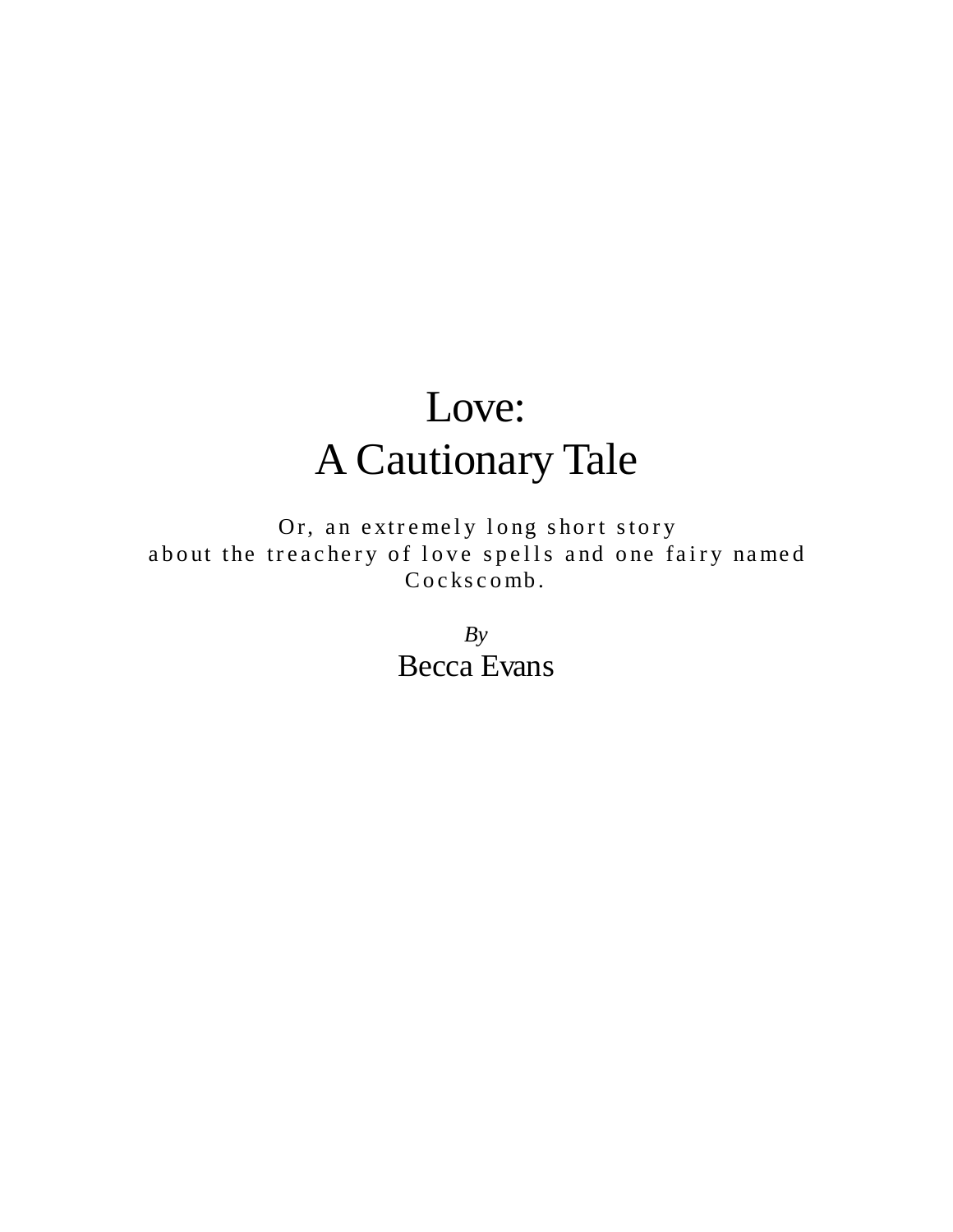## Love: A Cautionary Tale

Or, an extremely long short story about the treachery of love spells and one fairy named Cockscomb.

> *By* Becca Evans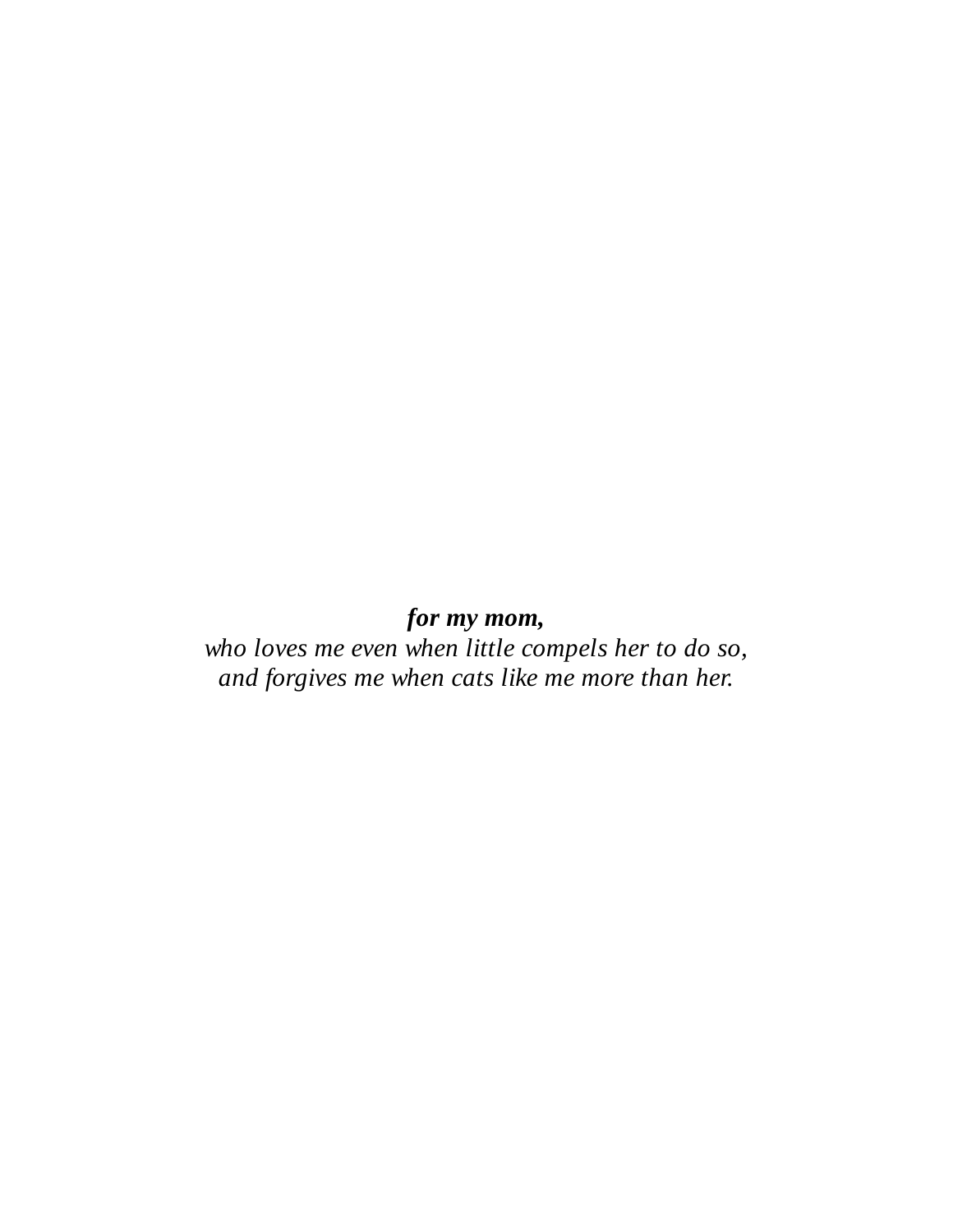## *for my mom,*

*who loves me even when little compels her to do so, and forgives me when cats like me more than her.*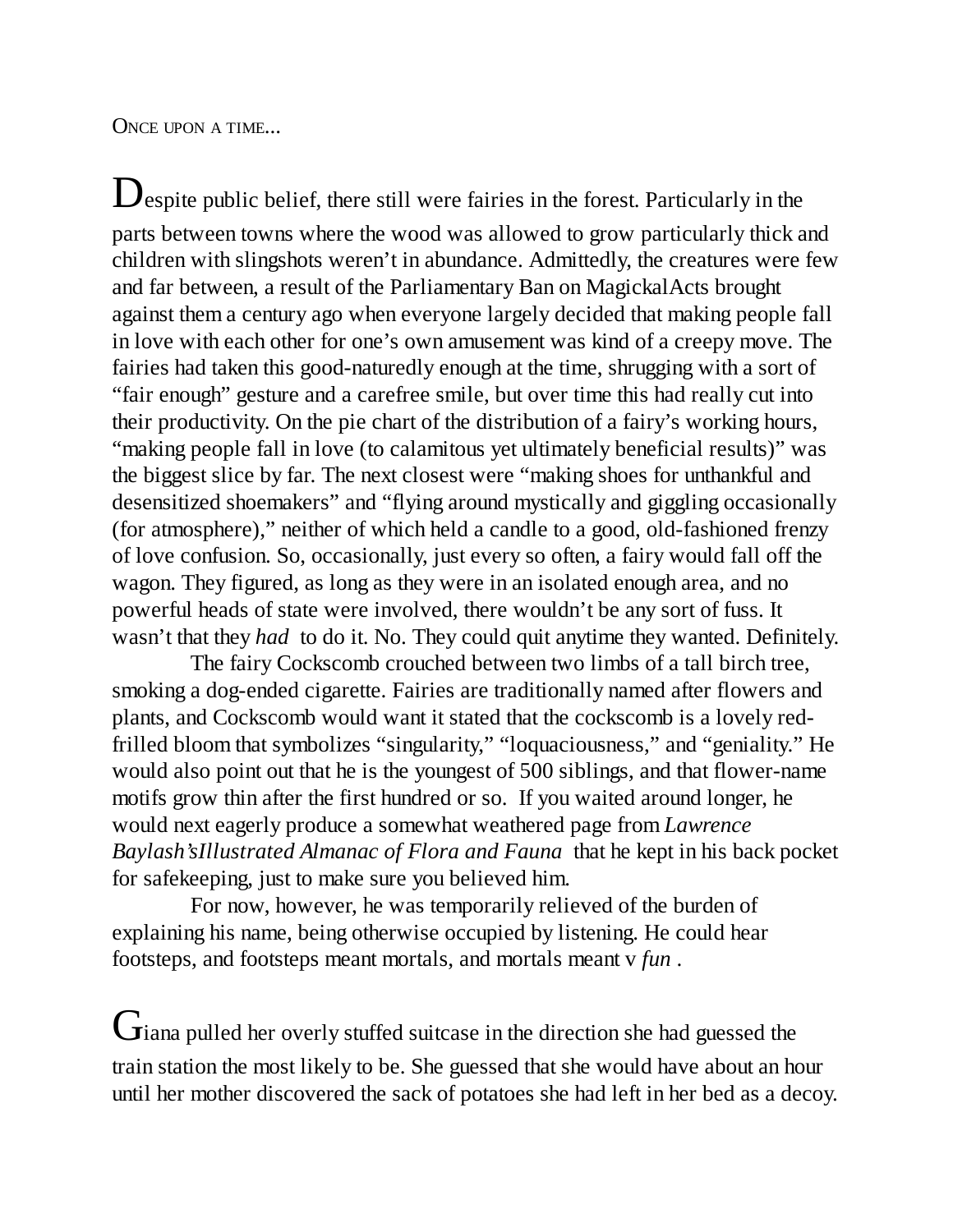ONCE UPON A TIME...

 $\mathbf D$  espite public belief, there still were fairies in the forest. Particularly in the parts between towns where the wood was allowed to grow particularly thick and children with slingshots weren't in abundance. Admittedly, the creatures were few and far between, a result of the Parliamentary Ban on MagickalActs brought against them a century ago when everyone largely decided that making people fall in love with each other for one's own amusement was kind of a creepy move. The fairies had taken this good-naturedly enough at the time, shrugging with a sort of "fair enough" gesture and a carefree smile, but over time this had really cut into their productivity. On the pie chart of the distribution of a fairy's working hours, "making people fall in love (to calamitous yet ultimately beneficial results)" was the biggest slice by far. The next closest were "making shoes for unthankful and desensitized shoemakers" and "flying around mystically and giggling occasionally (for atmosphere)," neither of which held a candle to a good, old-fashioned frenzy of love confusion. So, occasionally, just every so often, a fairy would fall off the wagon. They figured, as long as they were in an isolated enough area, and no powerful heads of state were involved, there wouldn't be any sort of fuss. It wasn't that they *had* to do it. No. They could quit anytime they wanted. Definitely.

The fairy Cockscomb crouched between two limbs of a tall birch tree, smoking a dog-ended cigarette. Fairies are traditionally named after flowers and plants, and Cockscomb would want it stated that the cockscomb is a lovely redfrilled bloom that symbolizes "singularity," "loquaciousness," and "geniality." He would also point out that he is the youngest of 500 siblings, and that flower-name motifs grow thin after the first hundred or so. If you waited around longer, he would next eagerly produce a somewhat weathered page from *Lawrence Baylash'sIllustrated Almanac of Flora and Fauna* that he kept in his back pocket for safekeeping, just to make sure you believed him.

For now, however, he was temporarily relieved of the burden of explaining his name, being otherwise occupied by listening. He could hear footsteps, and footsteps meant mortals, and mortals meant v *fun* .

 $G$ iana pulled her overly stuffed suitcase in the direction she had guessed the train station the most likely to be. She guessed that she would have about an hour until her mother discovered the sack of potatoes she had left in her bed as a decoy.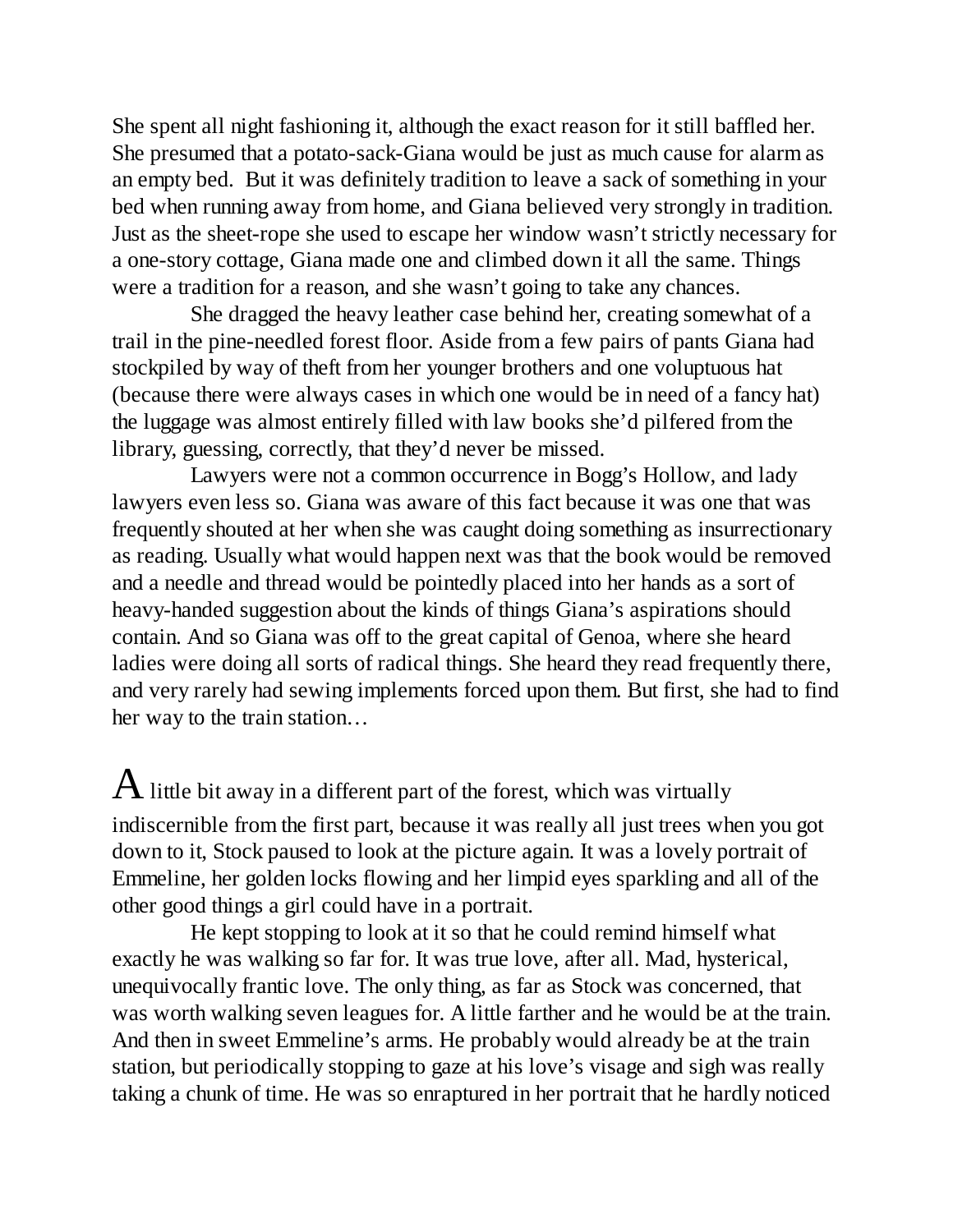She spent all night fashioning it, although the exact reason for it still baffled her. She presumed that a potato-sack-Giana would be just as much cause for alarm as an empty bed. But it was definitely tradition to leave a sack of something in your bed when running away from home, and Giana believed very strongly in tradition. Just as the sheet-rope she used to escape her window wasn't strictly necessary for a one-story cottage, Giana made one and climbed down it all the same. Things were a tradition for a reason, and she wasn't going to take any chances.

She dragged the heavy leather case behind her, creating somewhat of a trail in the pine-needled forest floor. Aside from a few pairs of pants Giana had stockpiled by way of theft from her younger brothers and one voluptuous hat (because there were always cases in which one would be in need of a fancy hat) the luggage was almost entirely filled with law books she'd pilfered from the library, guessing, correctly, that they'd never be missed.

Lawyers were not a common occurrence in Bogg's Hollow, and lady lawyers even less so. Giana was aware of this fact because it was one that was frequently shouted at her when she was caught doing something as insurrectionary as reading. Usually what would happen next was that the book would be removed and a needle and thread would be pointedly placed into her hands as a sort of heavy-handed suggestion about the kinds of things Giana's aspirations should contain. And so Giana was off to the great capital of Genoa, where she heard ladies were doing all sorts of radical things. She heard they read frequently there, and very rarely had sewing implements forced upon them. But first, she had to find her way to the train station…

 ${\rm A}$  little bit away in a different part of the forest, which was virtually indiscernible from the first part, because it was really all just trees when you got down to it, Stock paused to look at the picture again. It was a lovely portrait of Emmeline, her golden locks flowing and her limpid eyes sparkling and all of the other good things a girl could have in a portrait.

He kept stopping to look at it so that he could remind himself what exactly he was walking so far for. It was true love, after all. Mad, hysterical, unequivocally frantic love. The only thing, as far as Stock was concerned, that was worth walking seven leagues for. A little farther and he would be at the train. And then in sweet Emmeline's arms. He probably would already be at the train station, but periodically stopping to gaze at his love's visage and sigh was really taking a chunk of time. He was so enraptured in her portrait that he hardly noticed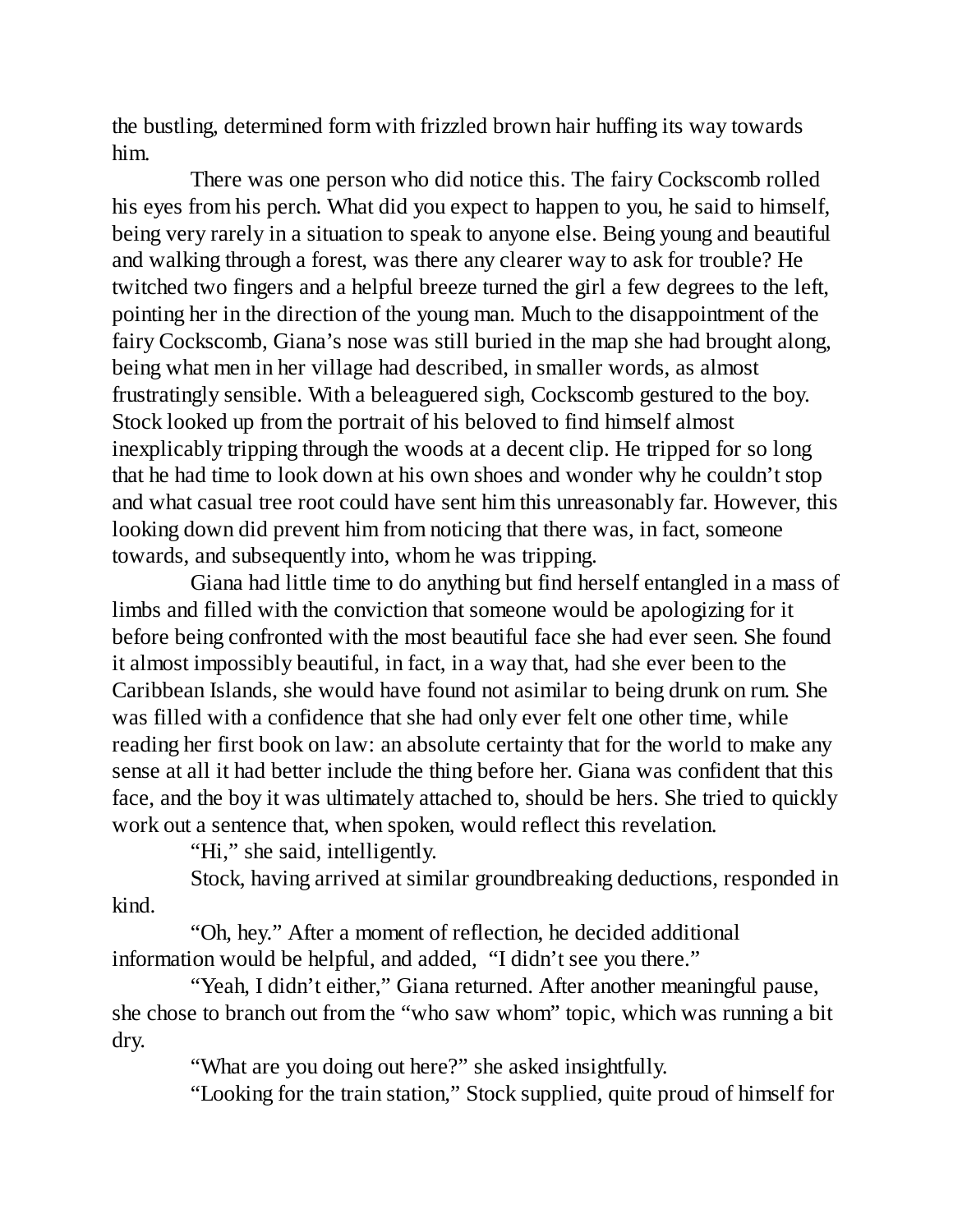the bustling, determined form with frizzled brown hair huffing its way towards him.

There was one person who did notice this. The fairy Cockscomb rolled his eyes from his perch. What did you expect to happen to you, he said to himself, being very rarely in a situation to speak to anyone else. Being young and beautiful and walking through a forest, was there any clearer way to ask for trouble? He twitched two fingers and a helpful breeze turned the girl a few degrees to the left, pointing her in the direction of the young man. Much to the disappointment of the fairy Cockscomb, Giana's nose was still buried in the map she had brought along, being what men in her village had described, in smaller words, as almost frustratingly sensible. With a beleaguered sigh, Cockscomb gestured to the boy. Stock looked up from the portrait of his beloved to find himself almost inexplicably tripping through the woods at a decent clip. He tripped for so long that he had time to look down at his own shoes and wonder why he couldn't stop and what casual tree root could have sent him this unreasonably far. However, this looking down did prevent him from noticing that there was, in fact, someone towards, and subsequently into, whom he was tripping.

Giana had little time to do anything but find herself entangled in a mass of limbs and filled with the conviction that someone would be apologizing for it before being confronted with the most beautiful face she had ever seen. She found it almost impossibly beautiful, in fact, in a way that, had she ever been to the Caribbean Islands, she would have found not asimilar to being drunk on rum. She was filled with a confidence that she had only ever felt one other time, while reading her first book on law: an absolute certainty that for the world to make any sense at all it had better include the thing before her. Giana was confident that this face, and the boy it was ultimately attached to, should be hers. She tried to quickly work out a sentence that, when spoken, would reflect this revelation.

"Hi," she said, intelligently.

Stock, having arrived at similar groundbreaking deductions, responded in kind.

"Oh, hey." After a moment of reflection, he decided additional information would be helpful, and added, "I didn't see you there."

"Yeah, I didn't either," Giana returned. After another meaningful pause, she chose to branch out from the "who saw whom" topic, which was running a bit dry.

"What are you doing out here?" she asked insightfully.

"Looking for the train station," Stock supplied, quite proud of himself for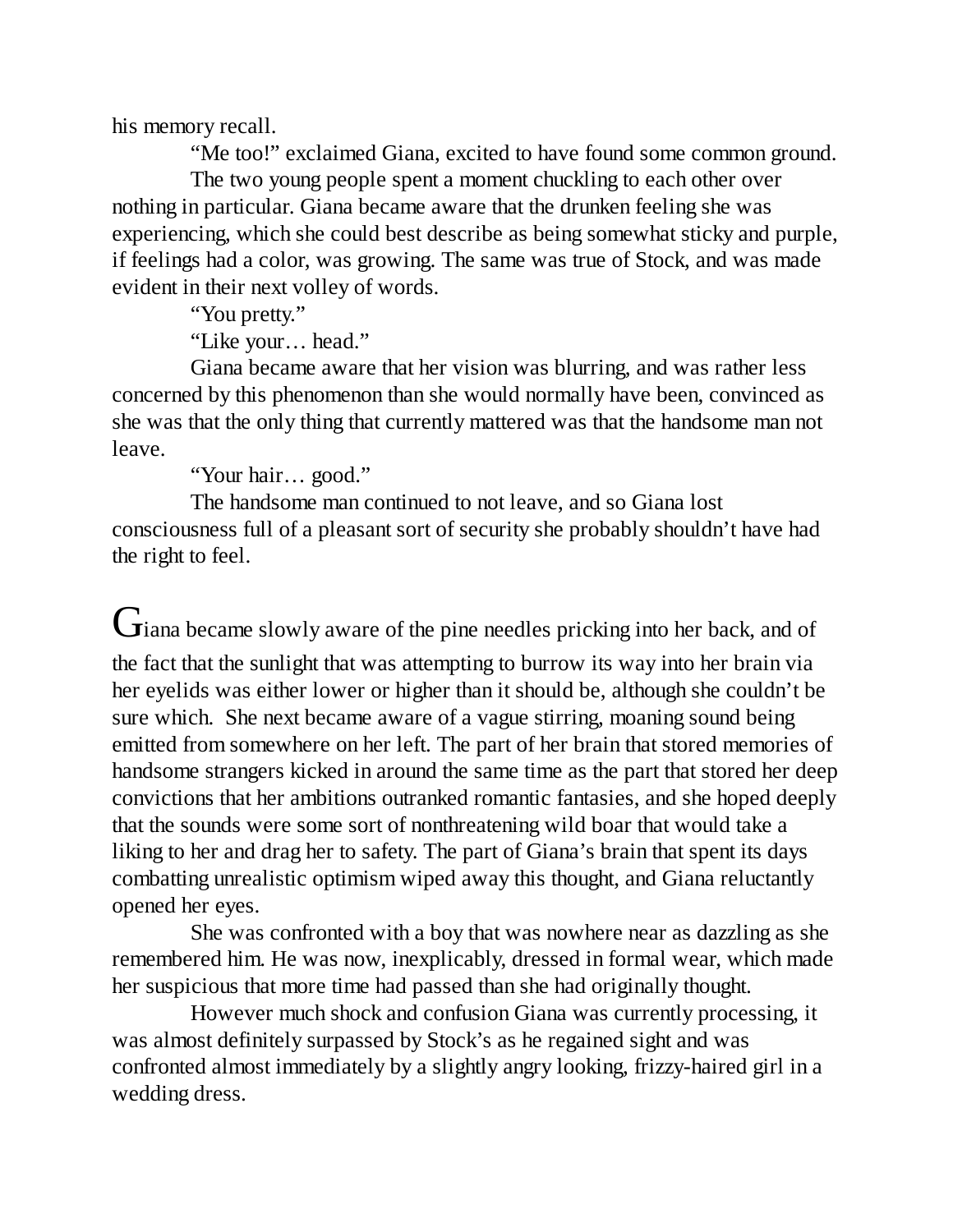his memory recall.

"Me too!" exclaimed Giana, excited to have found some common ground. The two young people spent a moment chuckling to each other over nothing in particular. Giana became aware that the drunken feeling she was experiencing, which she could best describe as being somewhat sticky and purple, if feelings had a color, was growing. The same was true of Stock, and was made evident in their next volley of words.

"You pretty."

"Like your… head."

Giana became aware that her vision was blurring, and was rather less concerned by this phenomenon than she would normally have been, convinced as she was that the only thing that currently mattered was that the handsome man not leave.

"Your hair… good."

The handsome man continued to not leave, and so Giana lost consciousness full of a pleasant sort of security she probably shouldn't have had the right to feel.

Giana became slowly aware of the pine needles pricking into her back, and of the fact that the sunlight that was attempting to burrow its way into her brain via her eyelids was either lower or higher than it should be, although she couldn't be sure which. She next became aware of a vague stirring, moaning sound being emitted from somewhere on her left. The part of her brain that stored memories of handsome strangers kicked in around the same time as the part that stored her deep convictions that her ambitions outranked romantic fantasies, and she hoped deeply that the sounds were some sort of nonthreatening wild boar that would take a liking to her and drag her to safety. The part of Giana's brain that spent its days combatting unrealistic optimism wiped away this thought, and Giana reluctantly opened her eyes.

She was confronted with a boy that was nowhere near as dazzling as she remembered him. He was now, inexplicably, dressed in formal wear, which made her suspicious that more time had passed than she had originally thought.

However much shock and confusion Giana was currently processing, it was almost definitely surpassed by Stock's as he regained sight and was confronted almost immediately by a slightly angry looking, frizzy-haired girl in a wedding dress.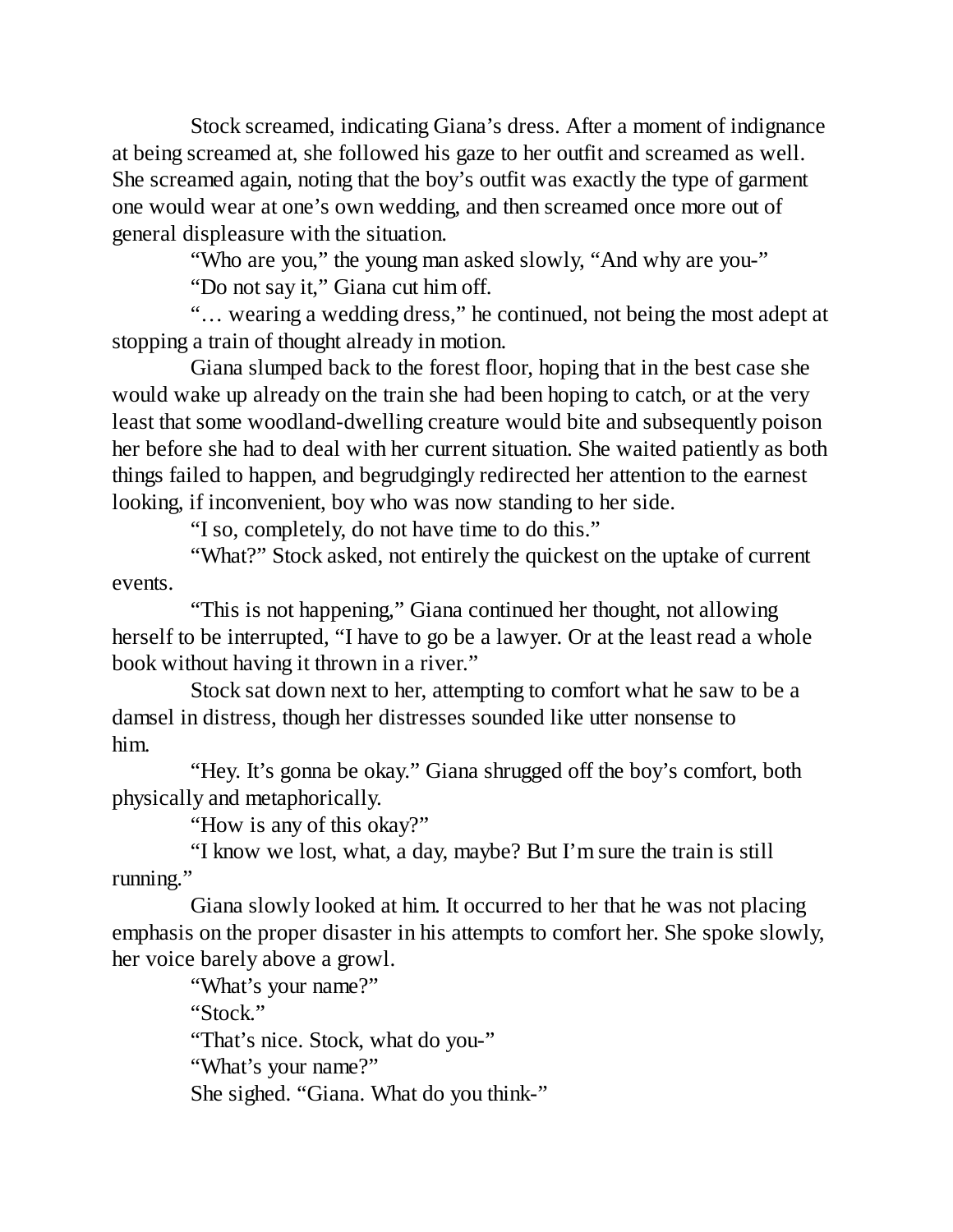Stock screamed, indicating Giana's dress. After a moment of indignance at being screamed at, she followed his gaze to her outfit and screamed as well. She screamed again, noting that the boy's outfit was exactly the type of garment one would wear at one's own wedding, and then screamed once more out of general displeasure with the situation.

"Who are you," the young man asked slowly, "And why are you-" "Do not say it," Giana cut him off.

"… wearing a wedding dress," he continued, not being the most adept at stopping a train of thought already in motion.

Giana slumped back to the forest floor, hoping that in the best case she would wake up already on the train she had been hoping to catch, or at the very least that some woodland-dwelling creature would bite and subsequently poison her before she had to deal with her current situation. She waited patiently as both things failed to happen, and begrudgingly redirected her attention to the earnest looking, if inconvenient, boy who was now standing to her side.

"I so, completely, do not have time to do this."

"What?" Stock asked, not entirely the quickest on the uptake of current events.

"This is not happening," Giana continued her thought, not allowing herself to be interrupted, "I have to go be a lawyer. Or at the least read a whole book without having it thrown in a river."

Stock sat down next to her, attempting to comfort what he saw to be a damsel in distress, though her distresses sounded like utter nonsense to him.

"Hey. It's gonna be okay." Giana shrugged off the boy's comfort, both physically and metaphorically.

"How is any of this okay?"

"I know we lost, what, a day, maybe? But I'm sure the train is still running."

Giana slowly looked at him. It occurred to her that he was not placing emphasis on the proper disaster in his attempts to comfort her. She spoke slowly, her voice barely above a growl.

"What's your name?" "Stock." "That's nice. Stock, what do you-" "What's your name?" She sighed. "Giana. What do you think-"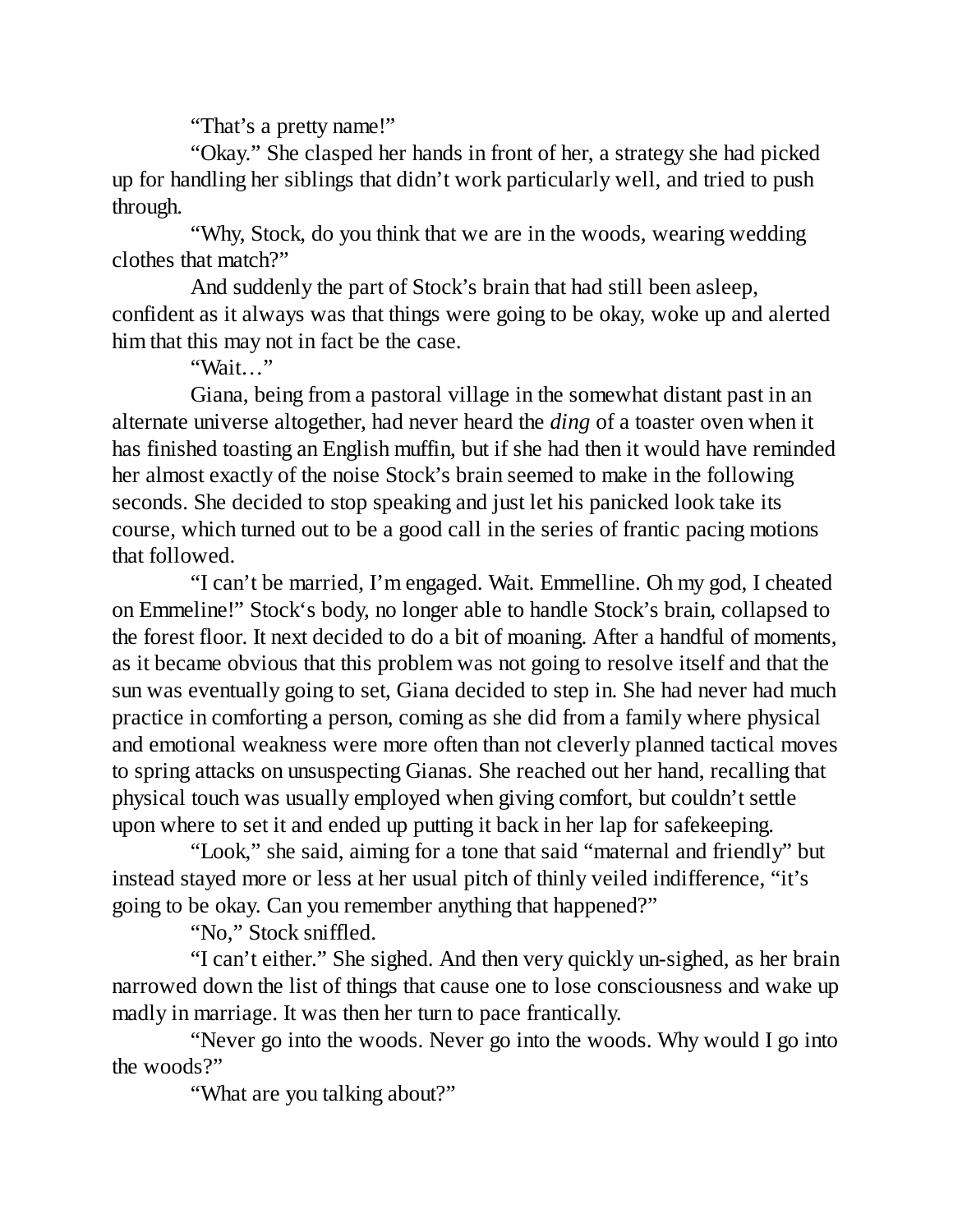"That's a pretty name!"

"Okay." She clasped her hands in front of her, a strategy she had picked up for handling her siblings that didn't work particularly well, and tried to push through.

"Why, Stock, do you think that we are in the woods, wearing wedding clothes that match?"

And suddenly the part of Stock's brain that had still been asleep, confident as it always was that things were going to be okay, woke up and alerted him that this may not in fact be the case.

"Wait…"

Giana, being from a pastoral village in the somewhat distant past in an alternate universe altogether, had never heard the *ding* of a toaster oven when it has finished toasting an English muffin, but if she had then it would have reminded her almost exactly of the noise Stock's brain seemed to make in the following seconds. She decided to stop speaking and just let his panicked look take its course, which turned out to be a good call in the series of frantic pacing motions that followed.

"I can't be married, I'm engaged. Wait. Emmelline. Oh my god, I cheated on Emmeline!" Stock's body, no longer able to handle Stock's brain, collapsed to the forest floor. It next decided to do a bit of moaning. After a handful of moments, as it became obvious that this problem was not going to resolve itself and that the sun was eventually going to set, Giana decided to step in. She had never had much practice in comforting a person, coming as she did from a family where physical and emotional weakness were more often than not cleverly planned tactical moves to spring attacks on unsuspecting Gianas. She reached out her hand, recalling that physical touch was usually employed when giving comfort, but couldn't settle upon where to set it and ended up putting it back in her lap for safekeeping.

"Look," she said, aiming for a tone that said "maternal and friendly" but instead stayed more or less at her usual pitch of thinly veiled indifference, "it's going to be okay. Can you remember anything that happened?"

"No," Stock sniffled.

"I can't either." She sighed. And then very quickly un-sighed, as her brain narrowed down the list of things that cause one to lose consciousness and wake up madly in marriage. It was then her turn to pace frantically.

"Never go into the woods. Never go into the woods. Why would I go into the woods?"

"What are you talking about?"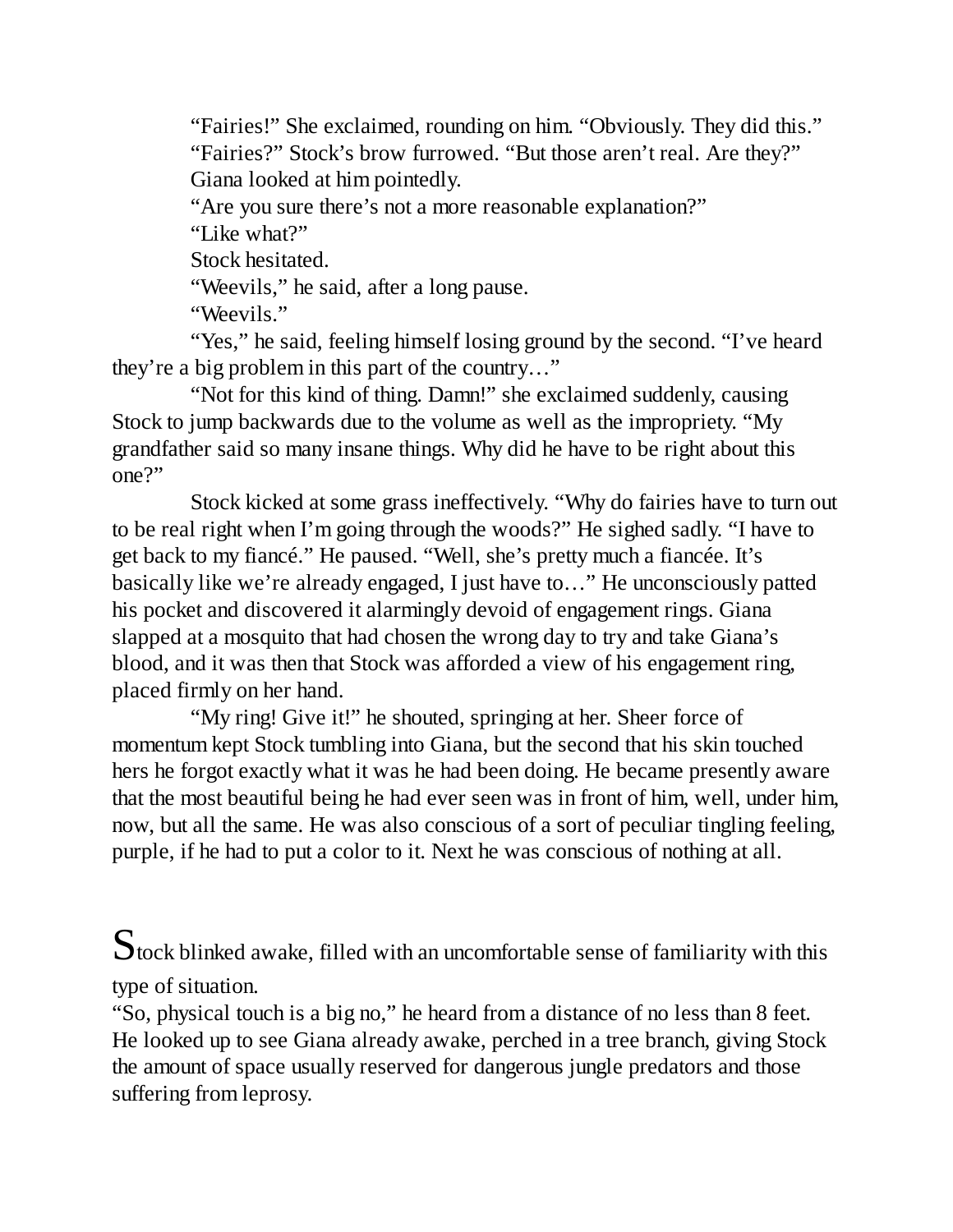"Fairies!" She exclaimed, rounding on him. "Obviously. They did this." "Fairies?" Stock's brow furrowed. "But those aren't real. Are they?" Giana looked at him pointedly.

"Are you sure there's not a more reasonable explanation?"

"Like what?"

Stock hesitated.

"Weevils," he said, after a long pause.

"Weevils."

"Yes," he said, feeling himself losing ground by the second. "I've heard they're a big problem in this part of the country…"

"Not for this kind of thing. Damn!" she exclaimed suddenly, causing Stock to jump backwards due to the volume as well as the impropriety. "My grandfather said so many insane things. Why did he have to be right about this one?"

Stock kicked at some grass ineffectively. "Why do fairies have to turn out to be real right when I'm going through the woods?" He sighed sadly. "I have to get back to my fiancé." He paused. "Well, she's pretty much a fiancée. It's basically like we're already engaged, I just have to…" He unconsciously patted his pocket and discovered it alarmingly devoid of engagement rings. Giana slapped at a mosquito that had chosen the wrong day to try and take Giana's blood, and it was then that Stock was afforded a view of his engagement ring, placed firmly on her hand.

"My ring! Give it!" he shouted, springing at her. Sheer force of momentum kept Stock tumbling into Giana, but the second that his skin touched hers he forgot exactly what it was he had been doing. He became presently aware that the most beautiful being he had ever seen was in front of him, well, under him, now, but all the same. He was also conscious of a sort of peculiar tingling feeling, purple, if he had to put a color to it. Next he was conscious of nothing at all.

 $S$ tock blinked awake, filled with an uncomfortable sense of familiarity with this type of situation.

"So, physical touch is a big no," he heard from a distance of no less than 8 feet. He looked up to see Giana already awake, perched in a tree branch, giving Stock the amount of space usually reserved for dangerous jungle predators and those suffering from leprosy.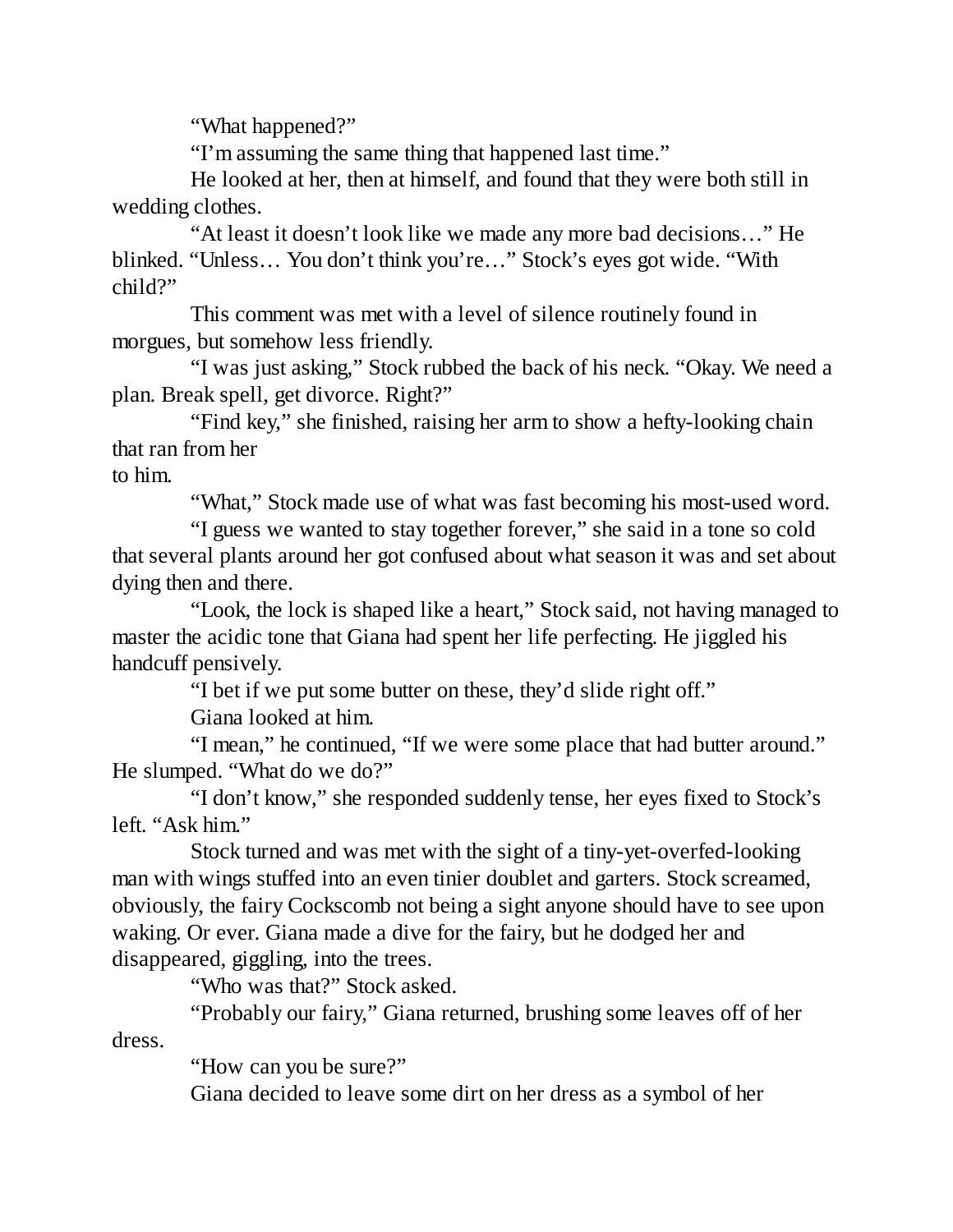"What happened?"

"I'm assuming the same thing that happened last time."

He looked at her, then at himself, and found that they were both still in wedding clothes.

"At least it doesn't look like we made any more bad decisions…" He blinked. "Unless… You don't think you're…" Stock's eyes got wide. "With child?"

This comment was met with a level of silence routinely found in morgues, but somehow less friendly.

"I was just asking," Stock rubbed the back of his neck. "Okay. We need a plan. Break spell, get divorce. Right?"

"Find key," she finished, raising her arm to show a hefty-looking chain that ran from her

to him.

"What," Stock made use of what was fast becoming his most-used word.

"I guess we wanted to stay together forever," she said in a tone so cold that several plants around her got confused about what season it was and set about dying then and there.

"Look, the lock is shaped like a heart," Stock said, not having managed to master the acidic tone that Giana had spent her life perfecting. He jiggled his handcuff pensively.

"I bet if we put some butter on these, they'd slide right off."

Giana looked at him.

"I mean," he continued, "If we were some place that had butter around." He slumped. "What do we do?"

"I don't know," she responded suddenly tense, her eyes fixed to Stock's left. "Ask him."

Stock turned and was met with the sight of a tiny-yet-overfed-looking man with wings stuffed into an even tinier doublet and garters. Stock screamed, obviously, the fairy Cockscomb not being a sight anyone should have to see upon waking. Or ever. Giana made a dive for the fairy, but he dodged her and disappeared, giggling, into the trees.

"Who was that?" Stock asked.

"Probably our fairy," Giana returned, brushing some leaves off of her dress.

"How can you be sure?"

Giana decided to leave some dirt on her dress as a symbol of her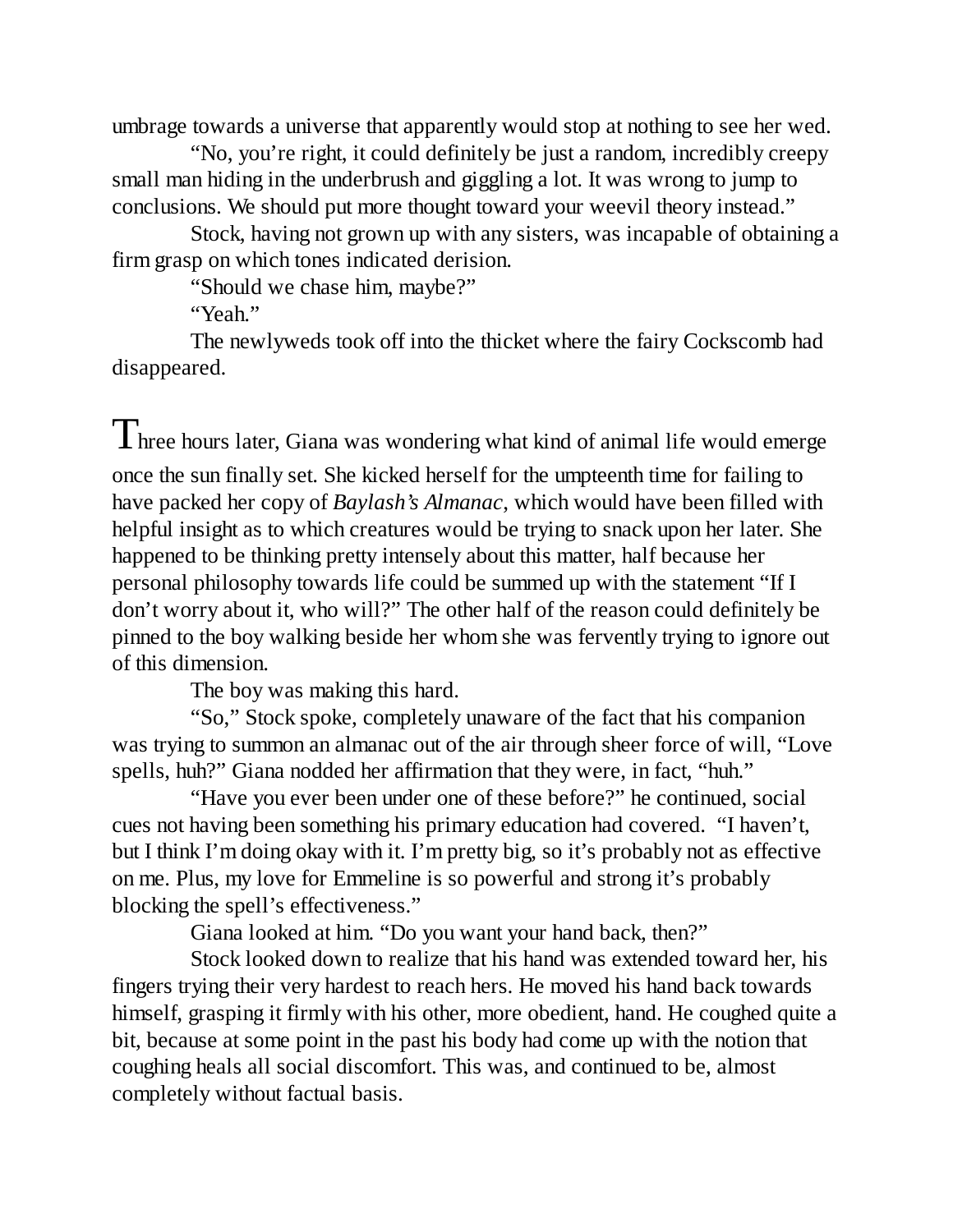umbrage towards a universe that apparently would stop at nothing to see her wed.

"No, you're right, it could definitely be just a random, incredibly creepy small man hiding in the underbrush and giggling a lot. It was wrong to jump to conclusions. We should put more thought toward your weevil theory instead."

Stock, having not grown up with any sisters, was incapable of obtaining a firm grasp on which tones indicated derision.

"Should we chase him, maybe?"

"Yeah."

The newlyweds took off into the thicket where the fairy Cockscomb had disappeared.

 $\int \mathbf{I}$  hree hours later, Giana was wondering what kind of animal life would emerge once the sun finally set. She kicked herself for the umpteenth time for failing to have packed her copy of *Baylash's Almanac*, which would have been filled with helpful insight as to which creatures would be trying to snack upon her later. She happened to be thinking pretty intensely about this matter, half because her personal philosophy towards life could be summed up with the statement "If I don't worry about it, who will?" The other half of the reason could definitely be pinned to the boy walking beside her whom she was fervently trying to ignore out of this dimension.

The boy was making this hard.

"So," Stock spoke, completely unaware of the fact that his companion was trying to summon an almanac out of the air through sheer force of will, "Love spells, huh?" Giana nodded her affirmation that they were, in fact, "huh."

"Have you ever been under one of these before?" he continued, social cues not having been something his primary education had covered. "I haven't, but I think I'm doing okay with it. I'm pretty big, so it's probably not as effective on me. Plus, my love for Emmeline is so powerful and strong it's probably blocking the spell's effectiveness."

Giana looked at him. "Do you want your hand back, then?"

Stock looked down to realize that his hand was extended toward her, his fingers trying their very hardest to reach hers. He moved his hand back towards himself, grasping it firmly with his other, more obedient, hand. He coughed quite a bit, because at some point in the past his body had come up with the notion that coughing heals all social discomfort. This was, and continued to be, almost completely without factual basis.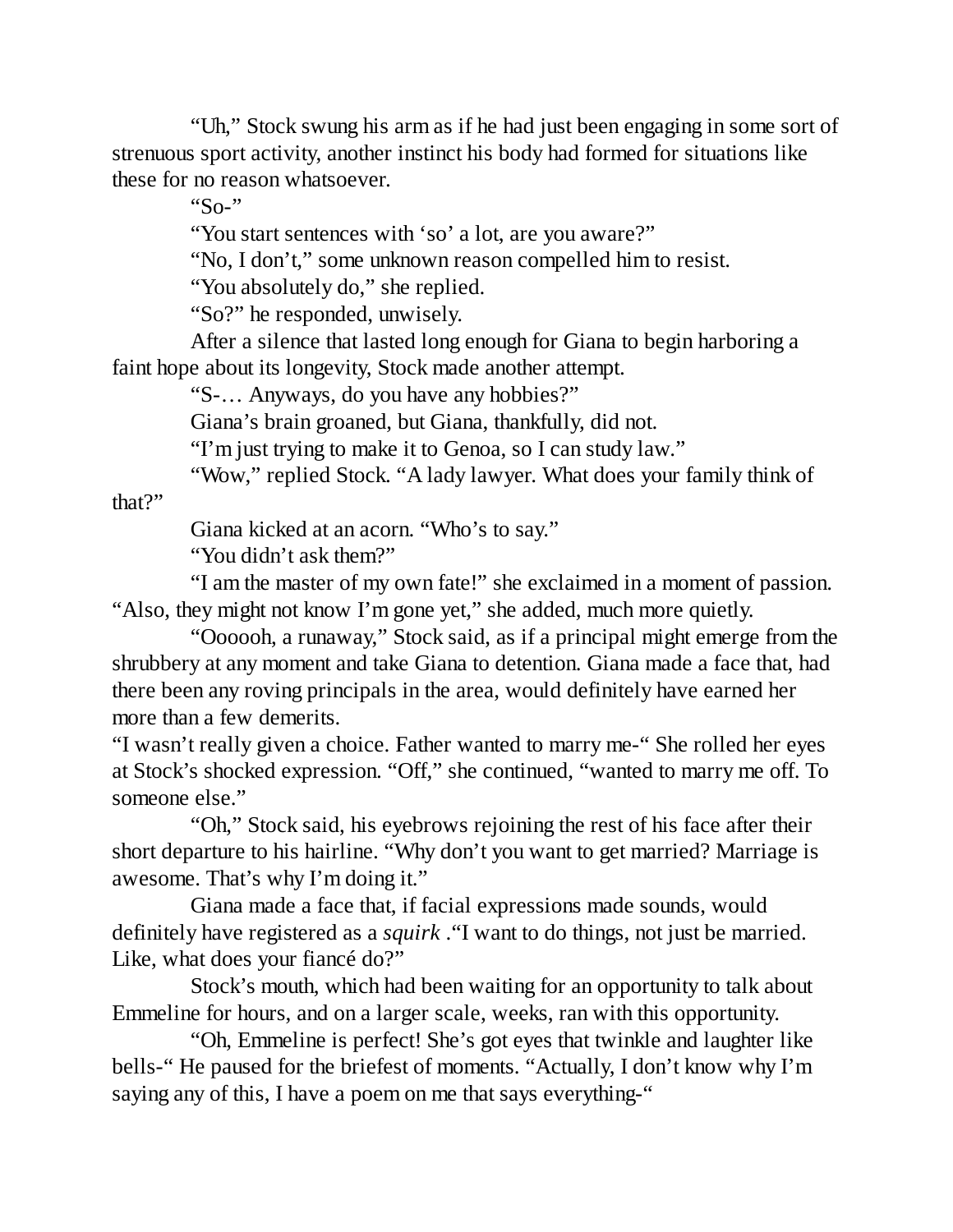"Uh," Stock swung his arm as if he had just been engaging in some sort of strenuous sport activity, another instinct his body had formed for situations like these for no reason whatsoever.

"So-"

"You start sentences with 'so' a lot, are you aware?"

"No, I don't," some unknown reason compelled him to resist.

"You absolutely do," she replied.

"So?" he responded, unwisely.

After a silence that lasted long enough for Giana to begin harboring a faint hope about its longevity, Stock made another attempt.

"S-… Anyways, do you have any hobbies?"

Giana's brain groaned, but Giana, thankfully, did not.

"I'm just trying to make it to Genoa, so I can study law."

"Wow," replied Stock. "A lady lawyer. What does your family think of

that?"

Giana kicked at an acorn. "Who's to say."

"You didn't ask them?"

"I am the master of my own fate!" she exclaimed in a moment of passion. "Also, they might not know I'm gone yet," she added, much more quietly.

"Oooooh, a runaway," Stock said, as if a principal might emerge from the shrubbery at any moment and take Giana to detention. Giana made a face that, had there been any roving principals in the area, would definitely have earned her more than a few demerits.

"I wasn't really given a choice. Father wanted to marry me-" She rolled her eyes at Stock's shocked expression. "Off," she continued, "wanted to marry me off. To someone else."

"Oh," Stock said, his eyebrows rejoining the rest of his face after their short departure to his hairline. "Why don't you want to get married? Marriage is awesome. That's why I'm doing it."

Giana made a face that, if facial expressions made sounds, would definitely have registered as a *squirk* ."I want to do things, not just be married. Like, what does your fiancé do?"

Stock's mouth, which had been waiting for an opportunity to talk about Emmeline for hours, and on a larger scale, weeks, ran with this opportunity.

"Oh, Emmeline is perfect! She's got eyes that twinkle and laughter like bells-" He paused for the briefest of moments. "Actually, I don't know why I'm saying any of this, I have a poem on me that says everything-"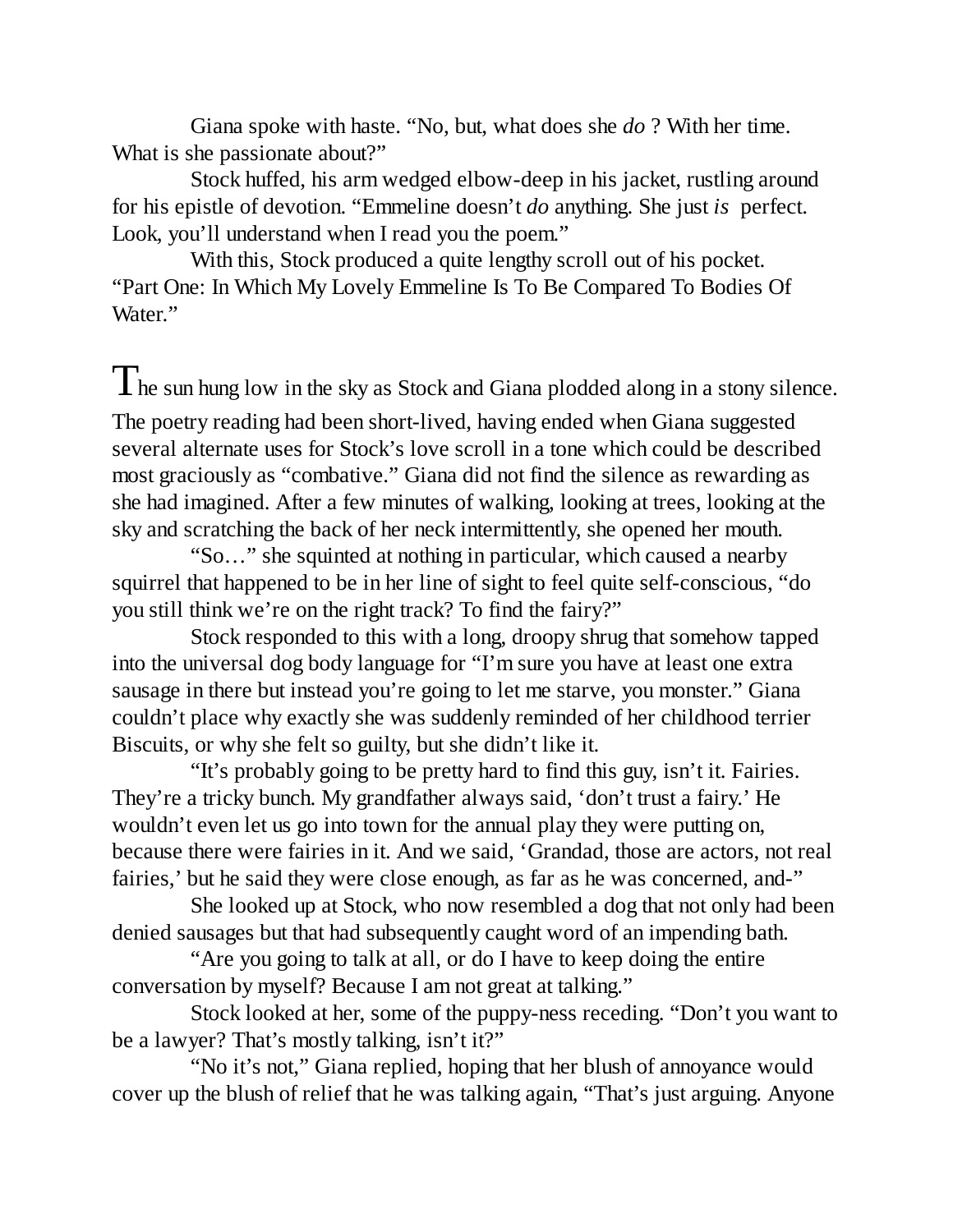Giana spoke with haste. "No, but, what does she *do* ? With her time. What is she passionate about?"

Stock huffed, his arm wedged elbow-deep in his jacket, rustling around for his epistle of devotion. "Emmeline doesn't *do* anything. She just *is* perfect. Look, you'll understand when I read you the poem."

With this, Stock produced a quite lengthy scroll out of his pocket. "Part One: In Which My Lovely Emmeline Is To Be Compared To Bodies Of Water."

 $T$ he sun hung low in the sky as Stock and Giana plodded along in a stony silence. The poetry reading had been short-lived, having ended when Giana suggested several alternate uses for Stock's love scroll in a tone which could be described most graciously as "combative." Giana did not find the silence as rewarding as she had imagined. After a few minutes of walking, looking at trees, looking at the sky and scratching the back of her neck intermittently, she opened her mouth.

"So…" she squinted at nothing in particular, which caused a nearby squirrel that happened to be in her line of sight to feel quite self-conscious, "do you still think we're on the right track? To find the fairy?"

Stock responded to this with a long, droopy shrug that somehow tapped into the universal dog body language for "I'm sure you have at least one extra sausage in there but instead you're going to let me starve, you monster." Giana couldn't place why exactly she was suddenly reminded of her childhood terrier Biscuits, or why she felt so guilty, but she didn't like it.

"It's probably going to be pretty hard to find this guy, isn't it. Fairies. They're a tricky bunch. My grandfather always said, 'don't trust a fairy.' He wouldn't even let us go into town for the annual play they were putting on, because there were fairies in it. And we said, 'Grandad, those are actors, not real fairies,' but he said they were close enough, as far as he was concerned, and-"

She looked up at Stock, who now resembled a dog that not only had been denied sausages but that had subsequently caught word of an impending bath.

"Are you going to talk at all, or do I have to keep doing the entire conversation by myself? Because I am not great at talking."

Stock looked at her, some of the puppy-ness receding. "Don't you want to be a lawyer? That's mostly talking, isn't it?"

"No it's not," Giana replied, hoping that her blush of annoyance would cover up the blush of relief that he was talking again, "That's just arguing. Anyone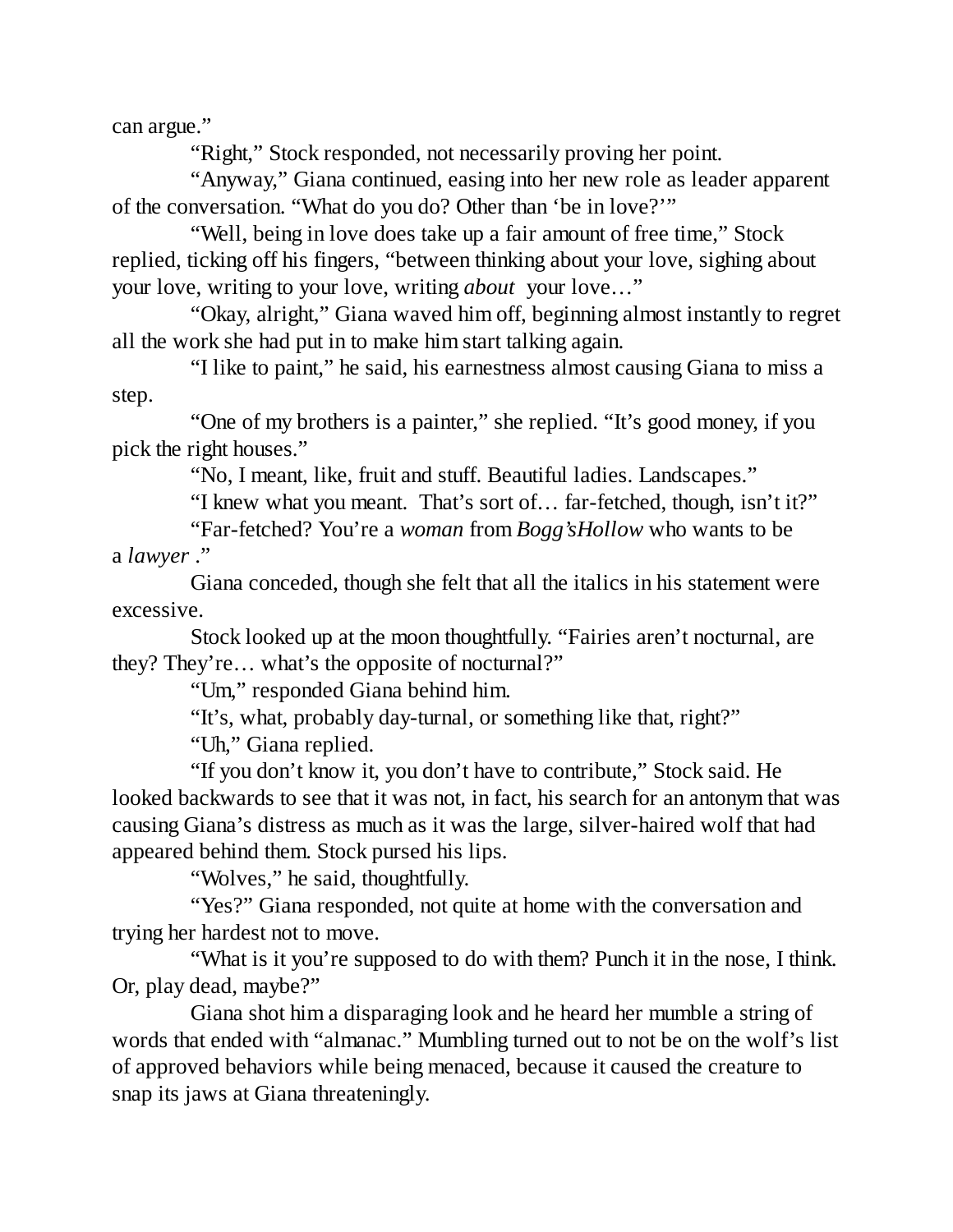can argue."

"Right," Stock responded, not necessarily proving her point.

"Anyway," Giana continued, easing into her new role as leader apparent of the conversation. "What do you do? Other than 'be in love?'"

"Well, being in love does take up a fair amount of free time," Stock replied, ticking off his fingers, "between thinking about your love, sighing about your love, writing to your love, writing *about* your love…"

"Okay, alright," Giana waved him off, beginning almost instantly to regret all the work she had put in to make him start talking again.

"I like to paint," he said, his earnestness almost causing Giana to miss a step.

"One of my brothers is a painter," she replied. "It's good money, if you pick the right houses."

"No, I meant, like, fruit and stuff. Beautiful ladies. Landscapes."

"I knew what you meant. That's sort of… far-fetched, though, isn't it?"

"Far-fetched? You're a *woman* from *Bogg'sHollow* who wants to be a *lawyer* ."

Giana conceded, though she felt that all the italics in his statement were excessive.

Stock looked up at the moon thoughtfully. "Fairies aren't nocturnal, are they? They're… what's the opposite of nocturnal?"

"Um," responded Giana behind him.

"It's, what, probably day-turnal, or something like that, right?"

"Uh," Giana replied.

"If you don't know it, you don't have to contribute," Stock said. He looked backwards to see that it was not, in fact, his search for an antonym that was causing Giana's distress as much as it was the large, silver-haired wolf that had appeared behind them. Stock pursed his lips.

"Wolves," he said, thoughtfully.

"Yes?" Giana responded, not quite at home with the conversation and trying her hardest not to move.

"What is it you're supposed to do with them? Punch it in the nose, I think. Or, play dead, maybe?"

Giana shot him a disparaging look and he heard her mumble a string of words that ended with "almanac." Mumbling turned out to not be on the wolf's list of approved behaviors while being menaced, because it caused the creature to snap its jaws at Giana threateningly.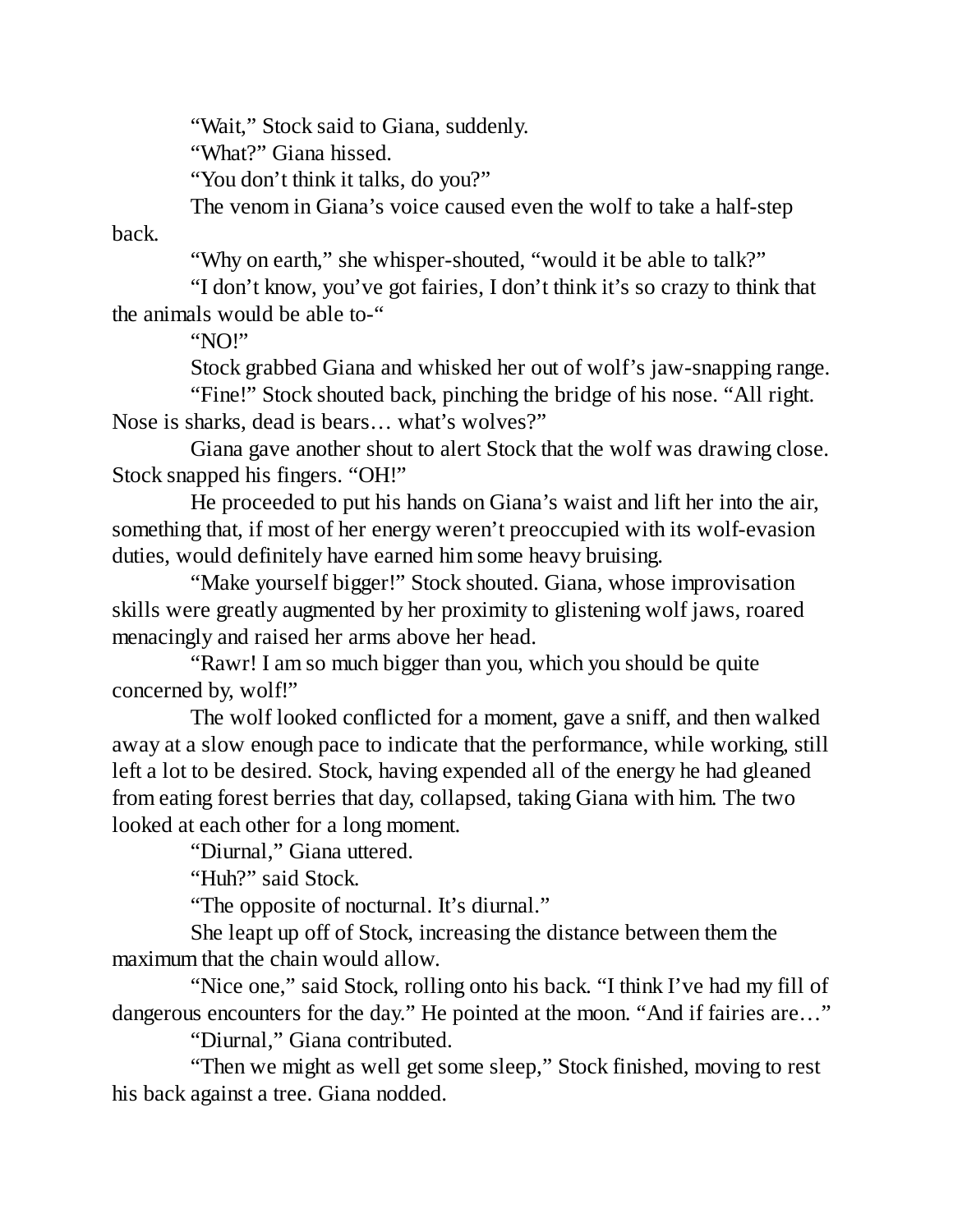"Wait," Stock said to Giana, suddenly.

"What?" Giana hissed.

"You don't think it talks, do you?"

The venom in Giana's voice caused even the wolf to take a half-step

back.

"Why on earth," she whisper-shouted, "would it be able to talk?"

"I don't know, you've got fairies, I don't think it's so crazy to think that the animals would be able to-"

"NO!"

Stock grabbed Giana and whisked her out of wolf's jaw-snapping range.

"Fine!" Stock shouted back, pinching the bridge of his nose. "All right. Nose is sharks, dead is bears… what's wolves?"

Giana gave another shout to alert Stock that the wolf was drawing close. Stock snapped his fingers. "OH!"

He proceeded to put his hands on Giana's waist and lift her into the air, something that, if most of her energy weren't preoccupied with its wolf-evasion duties, would definitely have earned him some heavy bruising.

"Make yourself bigger!" Stock shouted. Giana, whose improvisation skills were greatly augmented by her proximity to glistening wolf jaws, roared menacingly and raised her arms above her head.

"Rawr! I am so much bigger than you, which you should be quite concerned by, wolf!"

The wolf looked conflicted for a moment, gave a sniff, and then walked away at a slow enough pace to indicate that the performance, while working, still left a lot to be desired. Stock, having expended all of the energy he had gleaned from eating forest berries that day, collapsed, taking Giana with him. The two looked at each other for a long moment.

"Diurnal," Giana uttered.

"Huh?" said Stock.

"The opposite of nocturnal. It's diurnal."

She leapt up off of Stock, increasing the distance between them the maximum that the chain would allow.

"Nice one," said Stock, rolling onto his back. "I think I've had my fill of dangerous encounters for the day." He pointed at the moon. "And if fairies are…"

"Diurnal," Giana contributed.

"Then we might as well get some sleep," Stock finished, moving to rest his back against a tree. Giana nodded.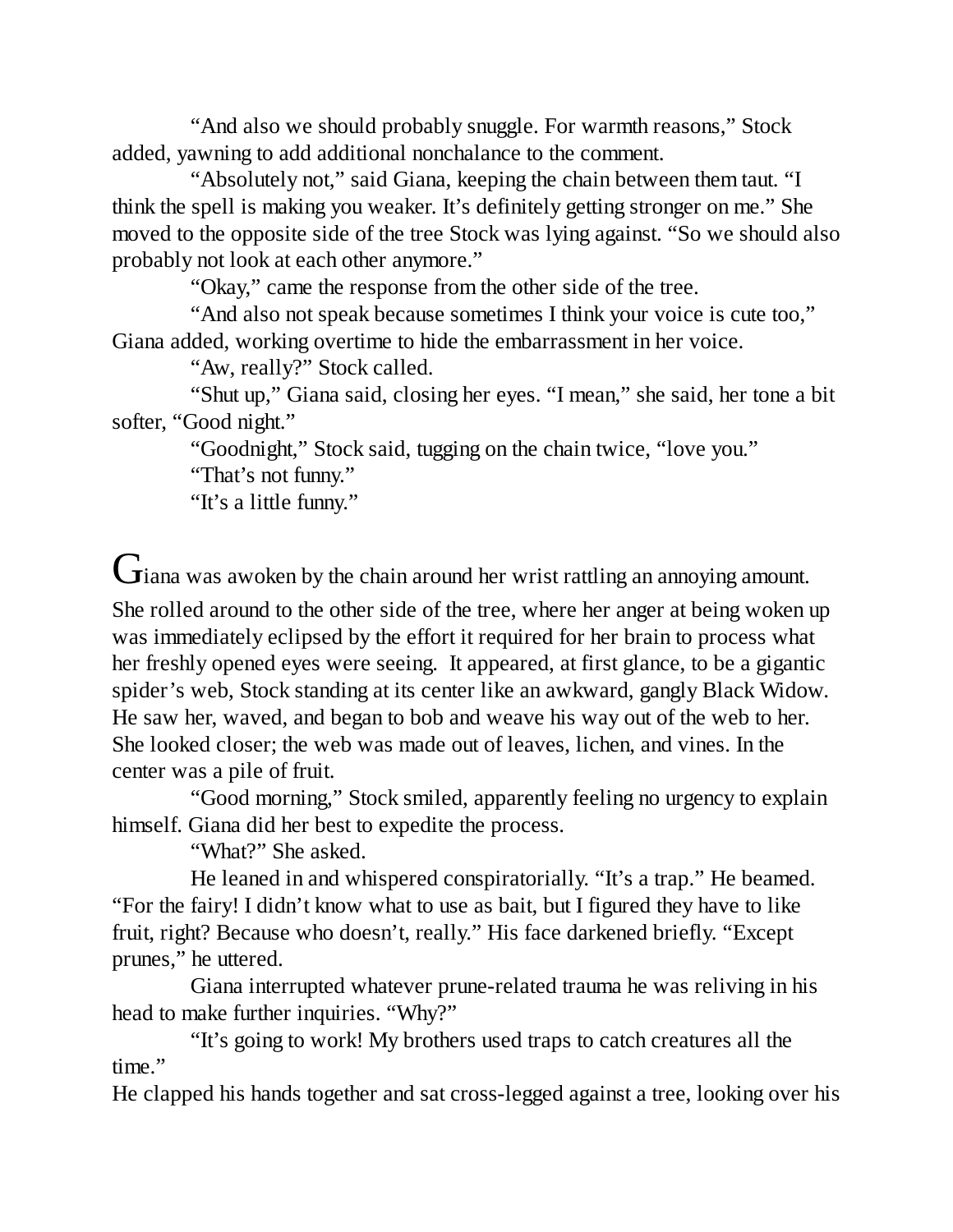"And also we should probably snuggle. For warmth reasons," Stock added, yawning to add additional nonchalance to the comment.

"Absolutely not," said Giana, keeping the chain between them taut. "I think the spell is making you weaker. It's definitely getting stronger on me." She moved to the opposite side of the tree Stock was lying against. "So we should also probably not look at each other anymore."

"Okay," came the response from the other side of the tree.

"And also not speak because sometimes I think your voice is cute too," Giana added, working overtime to hide the embarrassment in her voice.

"Aw, really?" Stock called.

"Shut up," Giana said, closing her eyes. "I mean," she said, her tone a bit softer, "Good night."

> "Goodnight," Stock said, tugging on the chain twice, "love you." "That's not funny."

"It's a little funny."

 $\mathbf G$ iana was awoken by the chain around her wrist rattling an annoying amount. She rolled around to the other side of the tree, where her anger at being woken up was immediately eclipsed by the effort it required for her brain to process what her freshly opened eyes were seeing. It appeared, at first glance, to be a gigantic spider's web, Stock standing at its center like an awkward, gangly Black Widow. He saw her, waved, and began to bob and weave his way out of the web to her. She looked closer; the web was made out of leaves, lichen, and vines. In the center was a pile of fruit.

"Good morning," Stock smiled, apparently feeling no urgency to explain himself. Giana did her best to expedite the process.

"What?" She asked.

He leaned in and whispered conspiratorially. "It's a trap." He beamed. "For the fairy! I didn't know what to use as bait, but I figured they have to like fruit, right? Because who doesn't, really." His face darkened briefly. "Except prunes," he uttered.

Giana interrupted whatever prune-related trauma he was reliving in his head to make further inquiries. "Why?"

"It's going to work! My brothers used traps to catch creatures all the time."

He clapped his hands together and sat cross-legged against a tree, looking over his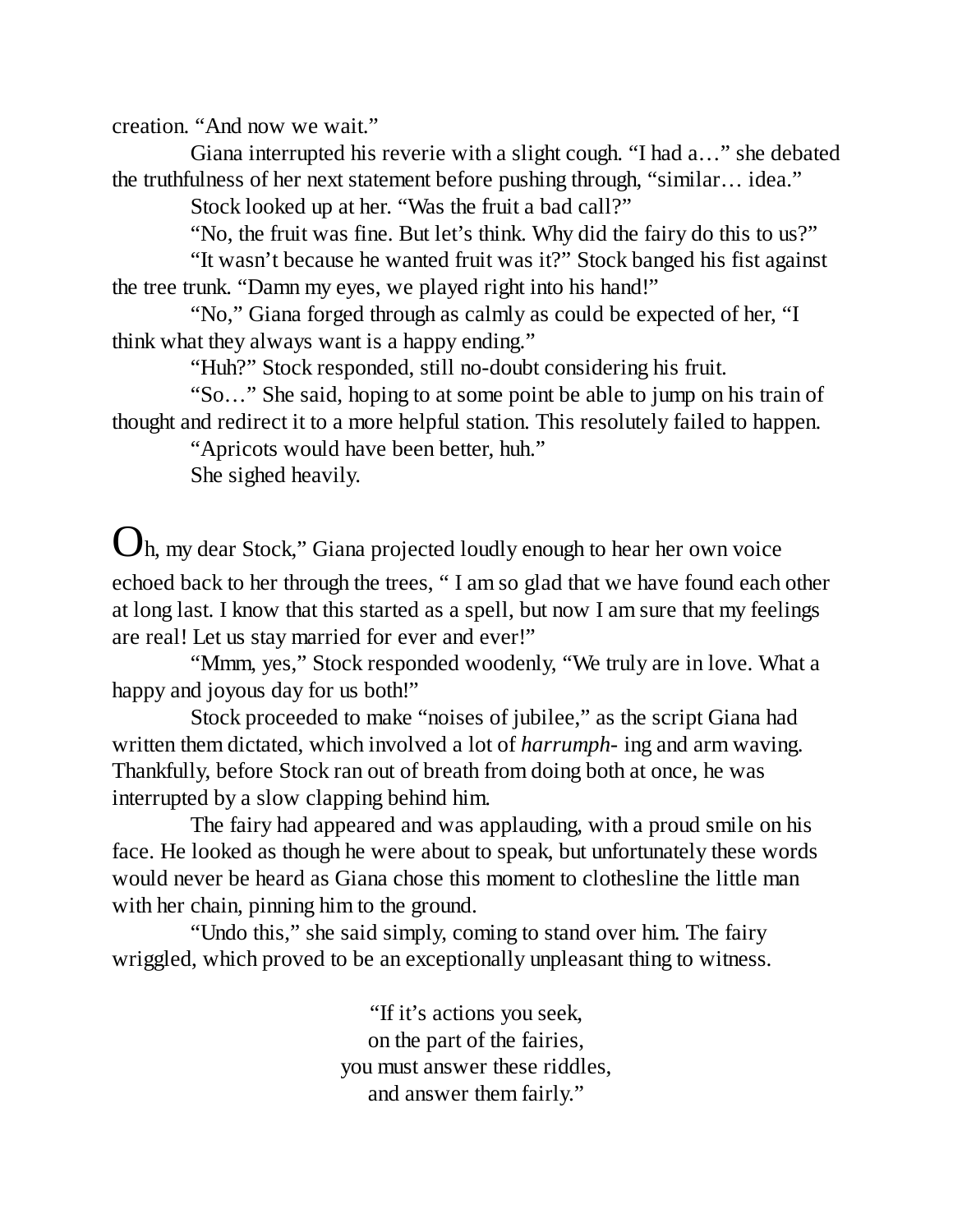creation. "And now we wait."

Giana interrupted his reverie with a slight cough. "I had a…" she debated the truthfulness of her next statement before pushing through, "similar… idea."

Stock looked up at her. "Was the fruit a bad call?"

"No, the fruit was fine. But let's think. Why did the fairy do this to us?"

"It wasn't because he wanted fruit was it?" Stock banged his fist against the tree trunk. "Damn my eyes, we played right into his hand!"

"No," Giana forged through as calmly as could be expected of her, "I think what they always want is a happy ending."

"Huh?" Stock responded, still no-doubt considering his fruit.

"So…" She said, hoping to at some point be able to jump on his train of thought and redirect it to a more helpful station. This resolutely failed to happen.

"Apricots would have been better, huh."

She sighed heavily.

 $\bm{\bigcup}$ h, my dear Stock," Giana projected loudly enough to hear her own voice echoed back to her through the trees, " I am so glad that we have found each other at long last. I know that this started as a spell, but now I am sure that my feelings are real! Let us stay married for ever and ever!"

"Mmm, yes," Stock responded woodenly, "We truly are in love. What a happy and joyous day for us both!"

Stock proceeded to make "noises of jubilee," as the script Giana had written them dictated, which involved a lot of *harrumph-* ing and arm waving. Thankfully, before Stock ran out of breath from doing both at once, he was interrupted by a slow clapping behind him.

The fairy had appeared and was applauding, with a proud smile on his face. He looked as though he were about to speak, but unfortunately these words would never be heard as Giana chose this moment to clothesline the little man with her chain, pinning him to the ground.

"Undo this," she said simply, coming to stand over him. The fairy wriggled, which proved to be an exceptionally unpleasant thing to witness.

> "If it's actions you seek, on the part of the fairies, you must answer these riddles, and answer them fairly."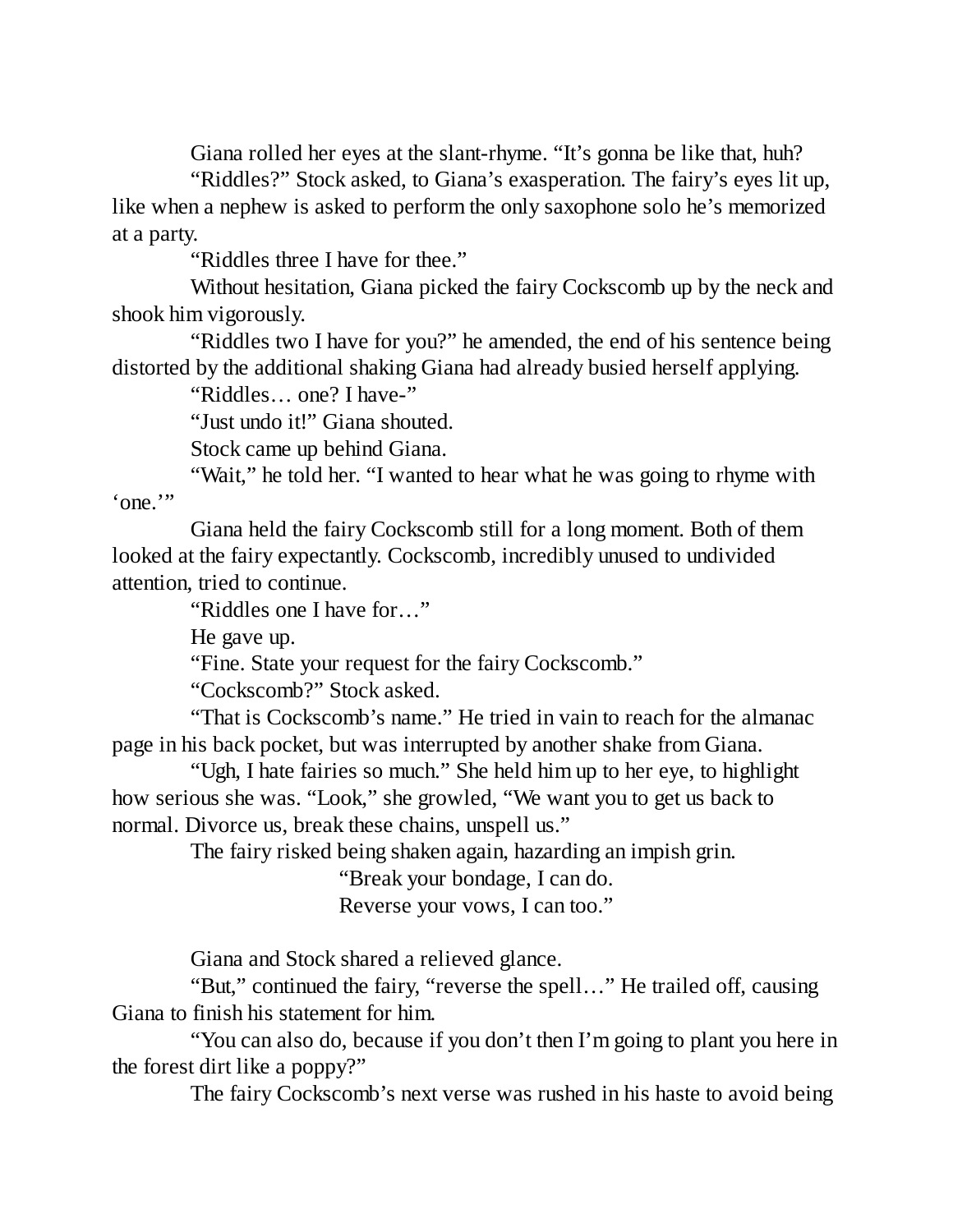Giana rolled her eyes at the slant-rhyme. "It's gonna be like that, huh?

"Riddles?" Stock asked, to Giana's exasperation. The fairy's eyes lit up, like when a nephew is asked to perform the only saxophone solo he's memorized at a party.

"Riddles three I have for thee."

Without hesitation, Giana picked the fairy Cockscomb up by the neck and shook him vigorously.

"Riddles two I have for you?" he amended, the end of his sentence being distorted by the additional shaking Giana had already busied herself applying.

"Riddles… one? I have-"

"Just undo it!" Giana shouted.

Stock came up behind Giana.

"Wait," he told her. "I wanted to hear what he was going to rhyme with 'one.'"

Giana held the fairy Cockscomb still for a long moment. Both of them looked at the fairy expectantly. Cockscomb, incredibly unused to undivided attention, tried to continue.

"Riddles one I have for…"

He gave up.

"Fine. State your request for the fairy Cockscomb."

"Cockscomb?" Stock asked.

"That is Cockscomb's name." He tried in vain to reach for the almanac page in his back pocket, but was interrupted by another shake from Giana.

"Ugh, I hate fairies so much." She held him up to her eye, to highlight how serious she was. "Look," she growled, "We want you to get us back to normal. Divorce us, break these chains, unspell us."

The fairy risked being shaken again, hazarding an impish grin.

"Break your bondage, I can do. Reverse your vows, I can too."

Giana and Stock shared a relieved glance.

"But," continued the fairy, "reverse the spell…" He trailed off, causing Giana to finish his statement for him.

"You can also do, because if you don't then I'm going to plant you here in the forest dirt like a poppy?"

The fairy Cockscomb's next verse was rushed in his haste to avoid being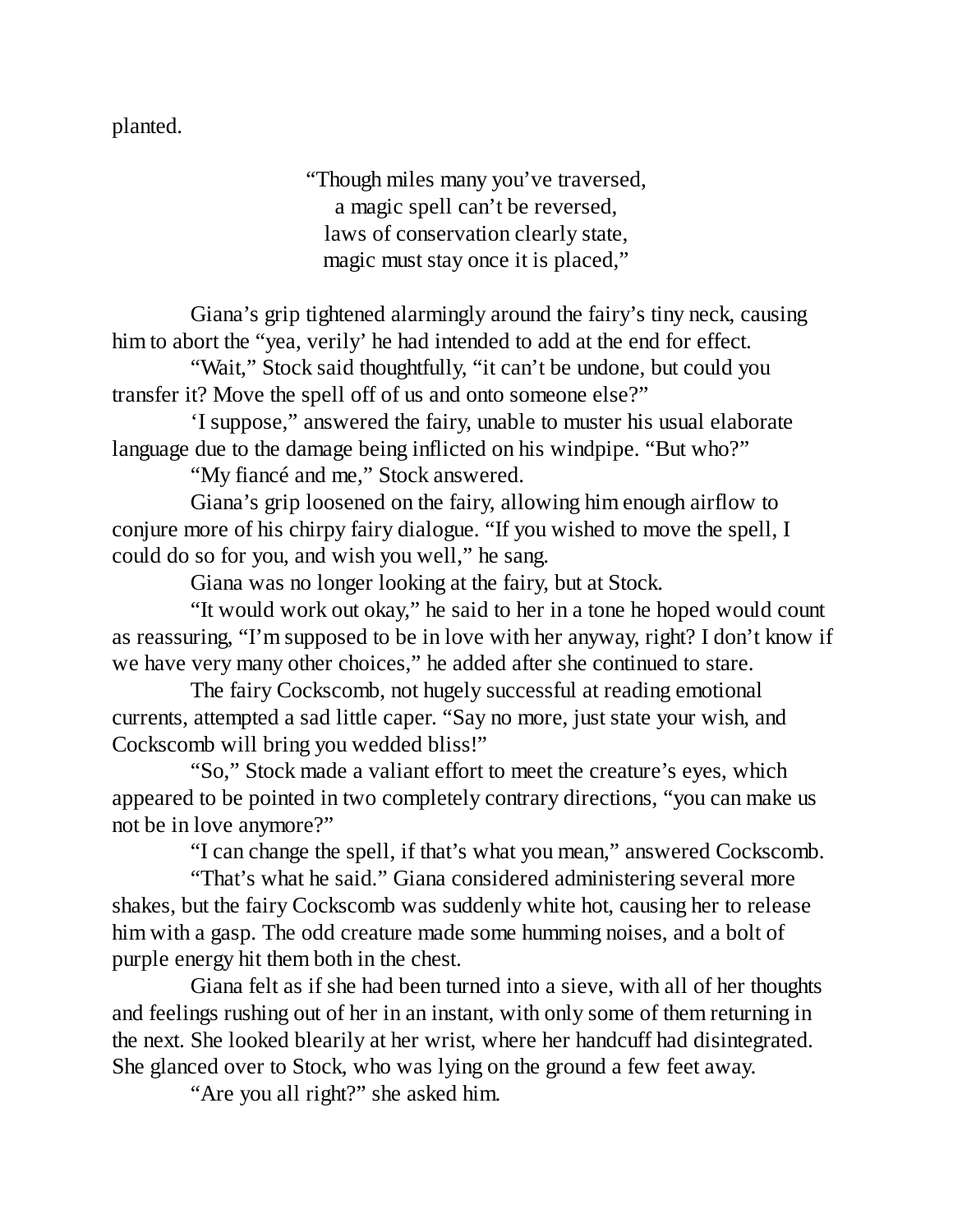planted.

"Though miles many you've traversed, a magic spell can't be reversed, laws of conservation clearly state, magic must stay once it is placed,"

Giana's grip tightened alarmingly around the fairy's tiny neck, causing him to abort the "yea, verily' he had intended to add at the end for effect.

"Wait," Stock said thoughtfully, "it can't be undone, but could you transfer it? Move the spell off of us and onto someone else?"

'I suppose," answered the fairy, unable to muster his usual elaborate language due to the damage being inflicted on his windpipe. "But who?"

"My fiancé and me," Stock answered.

Giana's grip loosened on the fairy, allowing him enough airflow to conjure more of his chirpy fairy dialogue. "If you wished to move the spell, I could do so for you, and wish you well," he sang.

Giana was no longer looking at the fairy, but at Stock.

"It would work out okay," he said to her in a tone he hoped would count as reassuring, "I'm supposed to be in love with her anyway, right? I don't know if we have very many other choices," he added after she continued to stare.

The fairy Cockscomb, not hugely successful at reading emotional currents, attempted a sad little caper. "Say no more, just state your wish, and Cockscomb will bring you wedded bliss!"

"So," Stock made a valiant effort to meet the creature's eyes, which appeared to be pointed in two completely contrary directions, "you can make us not be in love anymore?"

"I can change the spell, if that's what you mean," answered Cockscomb.

"That's what he said." Giana considered administering several more shakes, but the fairy Cockscomb was suddenly white hot, causing her to release him with a gasp. The odd creature made some humming noises, and a bolt of purple energy hit them both in the chest.

Giana felt as if she had been turned into a sieve, with all of her thoughts and feelings rushing out of her in an instant, with only some of them returning in the next. She looked blearily at her wrist, where her handcuff had disintegrated. She glanced over to Stock, who was lying on the ground a few feet away.

"Are you all right?" she asked him.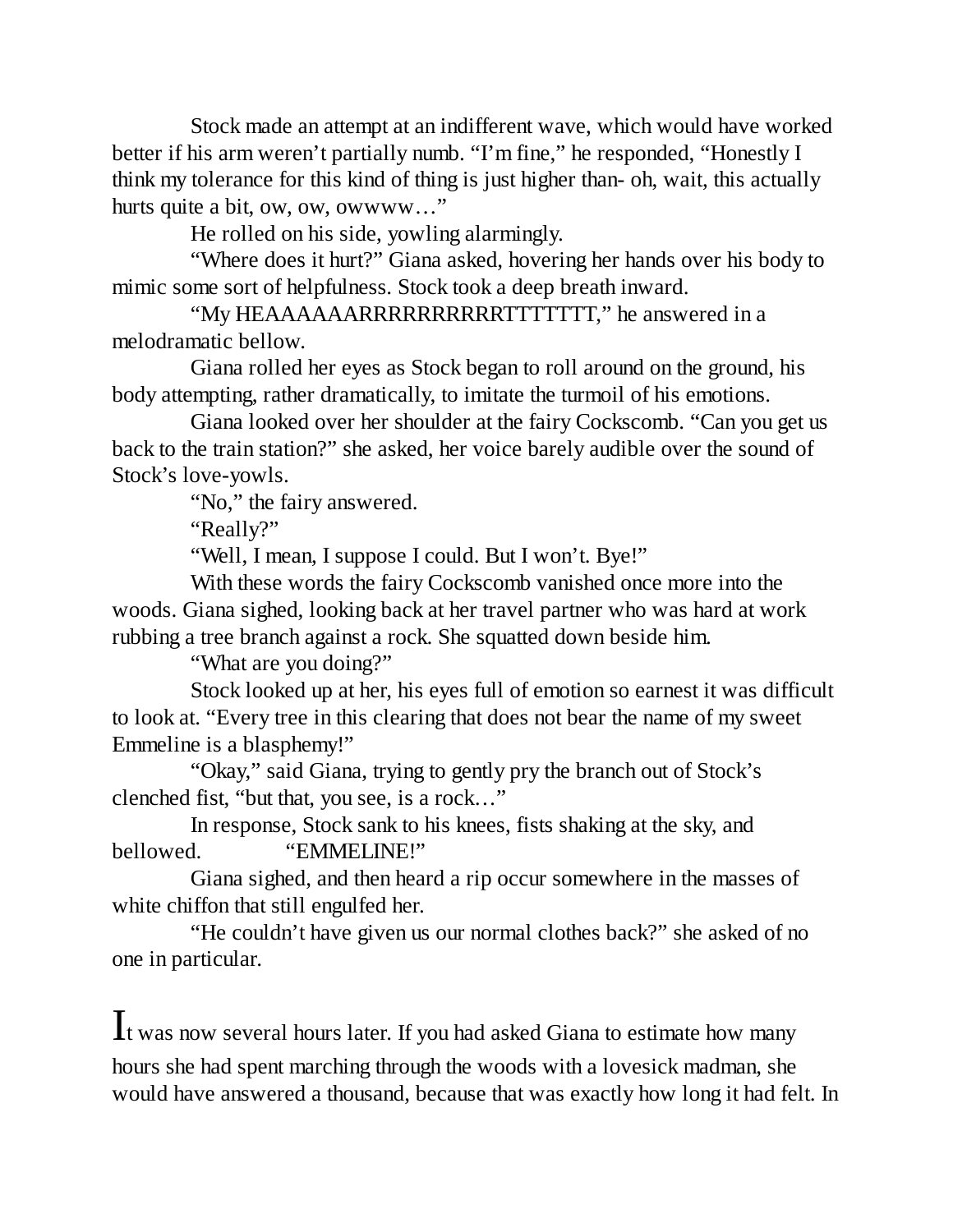Stock made an attempt at an indifferent wave, which would have worked better if his arm weren't partially numb. "I'm fine," he responded, "Honestly I think my tolerance for this kind of thing is just higher than- oh, wait, this actually hurts quite a bit, ow, ow, owwww…"

He rolled on his side, yowling alarmingly.

"Where does it hurt?" Giana asked, hovering her hands over his body to mimic some sort of helpfulness. Stock took a deep breath inward.

"My HEAAAAAARRRRRRRRRRTTTTTTT," he answered in a melodramatic bellow.

Giana rolled her eyes as Stock began to roll around on the ground, his body attempting, rather dramatically, to imitate the turmoil of his emotions.

Giana looked over her shoulder at the fairy Cockscomb. "Can you get us back to the train station?" she asked, her voice barely audible over the sound of Stock's love-yowls.

"No," the fairy answered.

"Really?"

"Well, I mean, I suppose I could. But I won't. Bye!"

With these words the fairy Cockscomb vanished once more into the woods. Giana sighed, looking back at her travel partner who was hard at work rubbing a tree branch against a rock. She squatted down beside him.

"What are you doing?"

Stock looked up at her, his eyes full of emotion so earnest it was difficult to look at. "Every tree in this clearing that does not bear the name of my sweet Emmeline is a blasphemy!"

"Okay," said Giana, trying to gently pry the branch out of Stock's clenched fist, "but that, you see, is a rock…"

In response, Stock sank to his knees, fists shaking at the sky, and bellowed. "EMMELINE!"

Giana sighed, and then heard a rip occur somewhere in the masses of white chiffon that still engulfed her.

"He couldn't have given us our normal clothes back?" she asked of no one in particular.

## It was now several hours later. If you had asked Giana to estimate how many hours she had spent marching through the woods with a lovesick madman, she would have answered a thousand, because that was exactly how long it had felt. In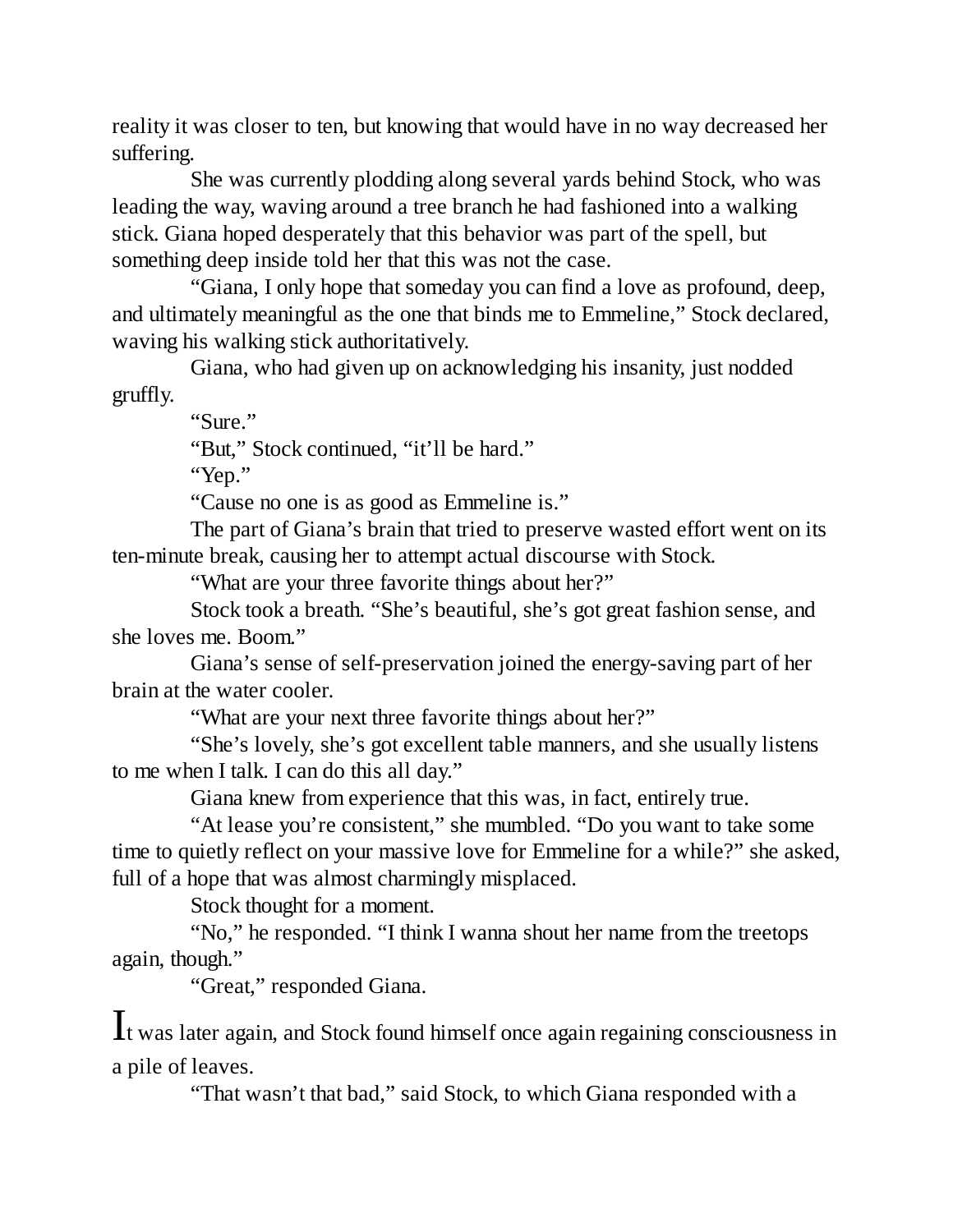reality it was closer to ten, but knowing that would have in no way decreased her suffering.

She was currently plodding along several yards behind Stock, who was leading the way, waving around a tree branch he had fashioned into a walking stick. Giana hoped desperately that this behavior was part of the spell, but something deep inside told her that this was not the case.

"Giana, I only hope that someday you can find a love as profound, deep, and ultimately meaningful as the one that binds me to Emmeline," Stock declared, waving his walking stick authoritatively.

Giana, who had given up on acknowledging his insanity, just nodded gruffly.

"Sure."

"But," Stock continued, "it'll be hard."

"Yep."

"Cause no one is as good as Emmeline is."

The part of Giana's brain that tried to preserve wasted effort went on its ten-minute break, causing her to attempt actual discourse with Stock.

"What are your three favorite things about her?"

Stock took a breath. "She's beautiful, she's got great fashion sense, and she loves me. Boom."

Giana's sense of self-preservation joined the energy-saving part of her brain at the water cooler.

"What are your next three favorite things about her?"

"She's lovely, she's got excellent table manners, and she usually listens to me when I talk. I can do this all day."

Giana knew from experience that this was, in fact, entirely true.

"At lease you're consistent," she mumbled. "Do you want to take some time to quietly reflect on your massive love for Emmeline for a while?" she asked, full of a hope that was almost charmingly misplaced.

Stock thought for a moment.

"No," he responded. "I think I wanna shout her name from the treetops again, though."

"Great," responded Giana.

It was later again, and Stock found himself once again regaining consciousness in a pile of leaves.

"That wasn't that bad," said Stock, to which Giana responded with a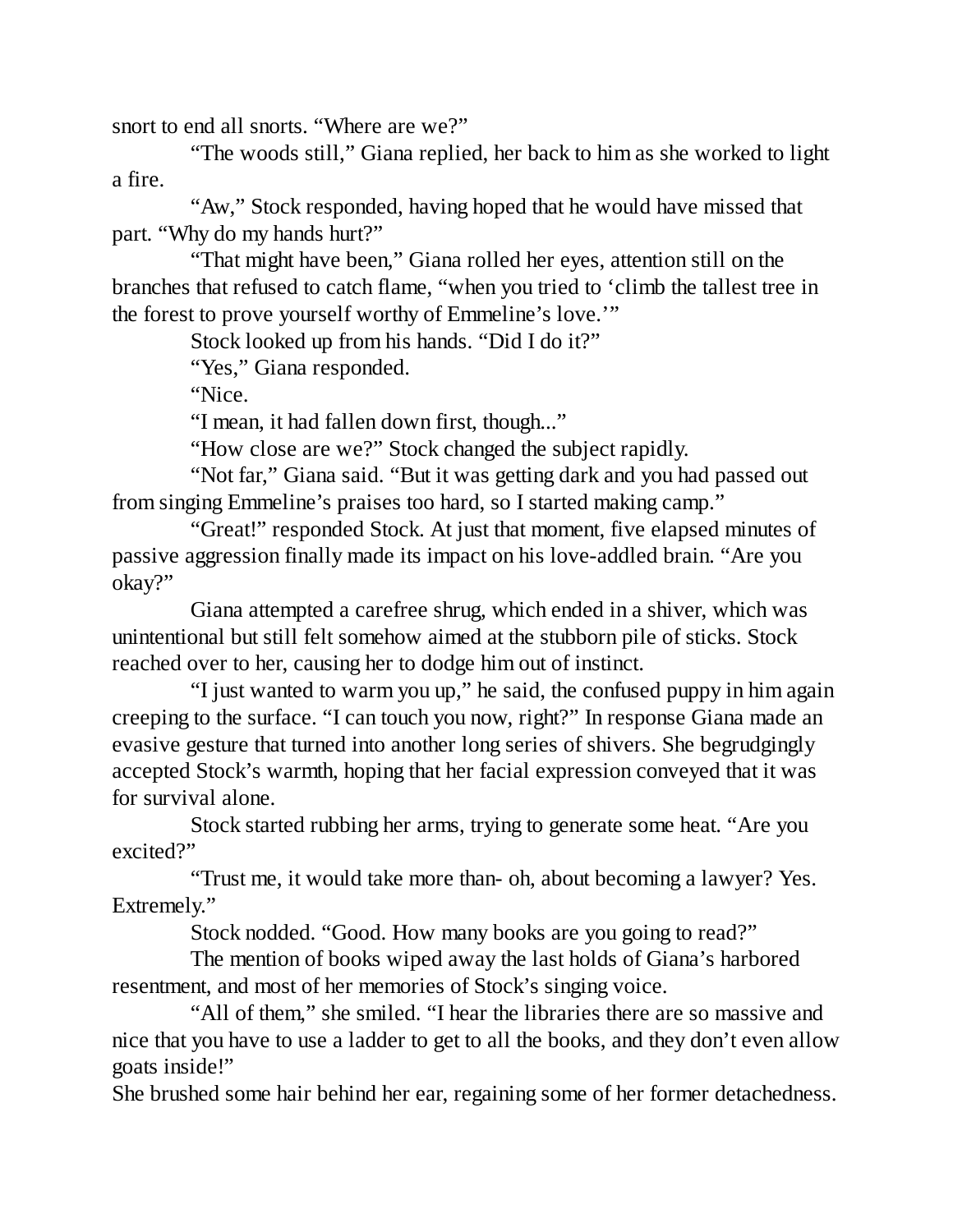snort to end all snorts. "Where are we?"

"The woods still," Giana replied, her back to him as she worked to light a fire.

"Aw," Stock responded, having hoped that he would have missed that part. "Why do my hands hurt?"

"That might have been," Giana rolled her eyes, attention still on the branches that refused to catch flame, "when you tried to 'climb the tallest tree in the forest to prove yourself worthy of Emmeline's love.'"

Stock looked up from his hands. "Did I do it?"

"Yes," Giana responded.

"Nice.

"I mean, it had fallen down first, though..."

"How close are we?" Stock changed the subject rapidly.

"Not far," Giana said. "But it was getting dark and you had passed out from singing Emmeline's praises too hard, so I started making camp."

"Great!" responded Stock. At just that moment, five elapsed minutes of passive aggression finally made its impact on his love-addled brain. "Are you okay?"

Giana attempted a carefree shrug, which ended in a shiver, which was unintentional but still felt somehow aimed at the stubborn pile of sticks. Stock reached over to her, causing her to dodge him out of instinct.

"I just wanted to warm you up," he said, the confused puppy in him again creeping to the surface. "I can touch you now, right?" In response Giana made an evasive gesture that turned into another long series of shivers. She begrudgingly accepted Stock's warmth, hoping that her facial expression conveyed that it was for survival alone.

Stock started rubbing her arms, trying to generate some heat. "Are you excited?"

"Trust me, it would take more than- oh, about becoming a lawyer? Yes. Extremely."

Stock nodded. "Good. How many books are you going to read?"

The mention of books wiped away the last holds of Giana's harbored resentment, and most of her memories of Stock's singing voice.

"All of them," she smiled. "I hear the libraries there are so massive and nice that you have to use a ladder to get to all the books, and they don't even allow goats inside!"

She brushed some hair behind her ear, regaining some of her former detachedness.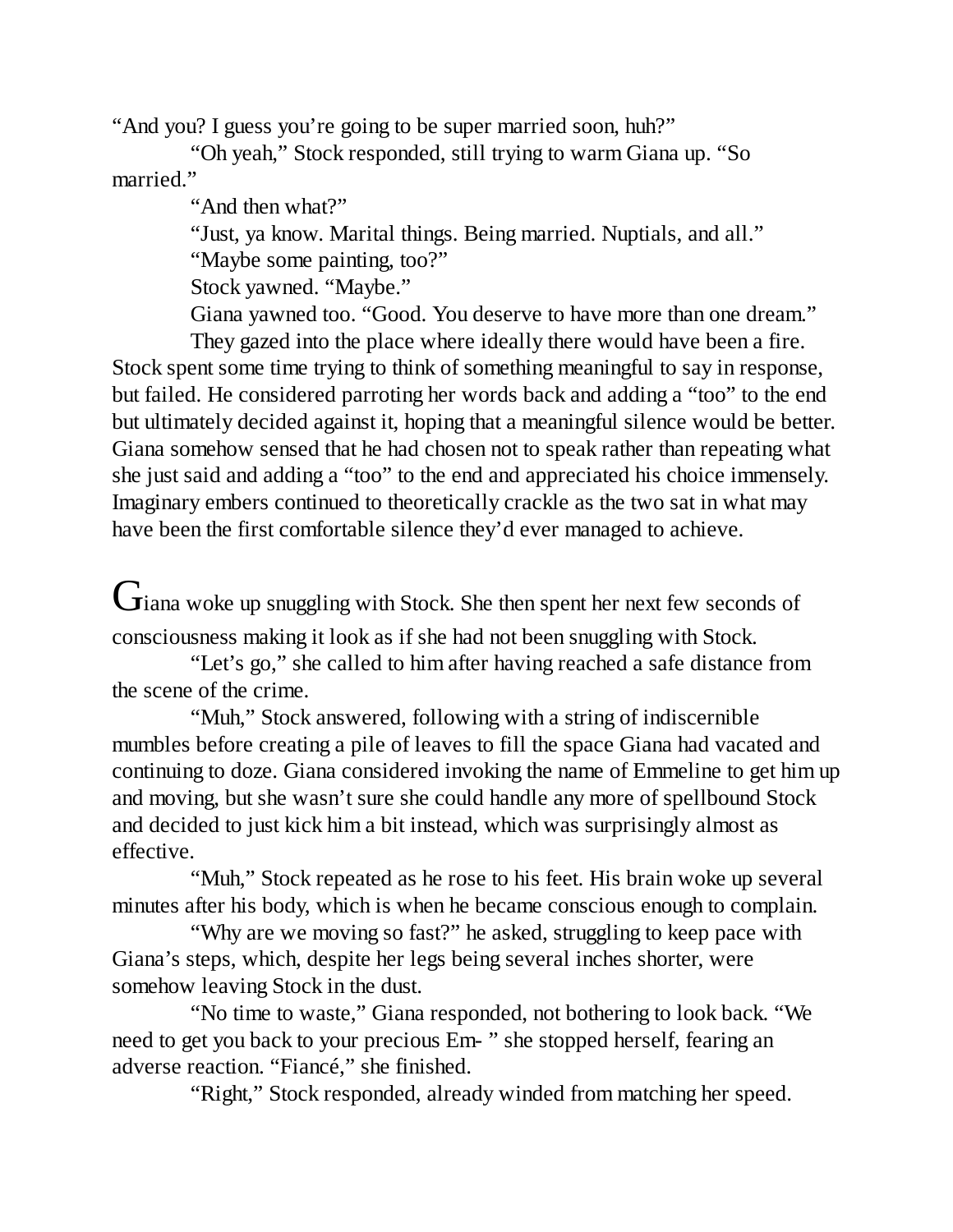"And you? I guess you're going to be super married soon, huh?"

"Oh yeah," Stock responded, still trying to warm Giana up. "So married."

"And then what?"

"Just, ya know. Marital things. Being married. Nuptials, and all." "Maybe some painting, too?"

Stock yawned. "Maybe."

Giana yawned too. "Good. You deserve to have more than one dream."

They gazed into the place where ideally there would have been a fire. Stock spent some time trying to think of something meaningful to say in response, but failed. He considered parroting her words back and adding a "too" to the end but ultimately decided against it, hoping that a meaningful silence would be better. Giana somehow sensed that he had chosen not to speak rather than repeating what she just said and adding a "too" to the end and appreciated his choice immensely. Imaginary embers continued to theoretically crackle as the two sat in what may have been the first comfortable silence they'd ever managed to achieve.

Giana woke up snuggling with Stock. She then spent her next few seconds of consciousness making it look as if she had not been snuggling with Stock.

"Let's go," she called to him after having reached a safe distance from the scene of the crime.

"Muh," Stock answered, following with a string of indiscernible mumbles before creating a pile of leaves to fill the space Giana had vacated and continuing to doze. Giana considered invoking the name of Emmeline to get him up and moving, but she wasn't sure she could handle any more of spellbound Stock and decided to just kick him a bit instead, which was surprisingly almost as effective.

"Muh," Stock repeated as he rose to his feet. His brain woke up several minutes after his body, which is when he became conscious enough to complain.

"Why are we moving so fast?" he asked, struggling to keep pace with Giana's steps, which, despite her legs being several inches shorter, were somehow leaving Stock in the dust.

"No time to waste," Giana responded, not bothering to look back. "We need to get you back to your precious Em- " she stopped herself, fearing an adverse reaction. "Fiancé," she finished.

"Right," Stock responded, already winded from matching her speed.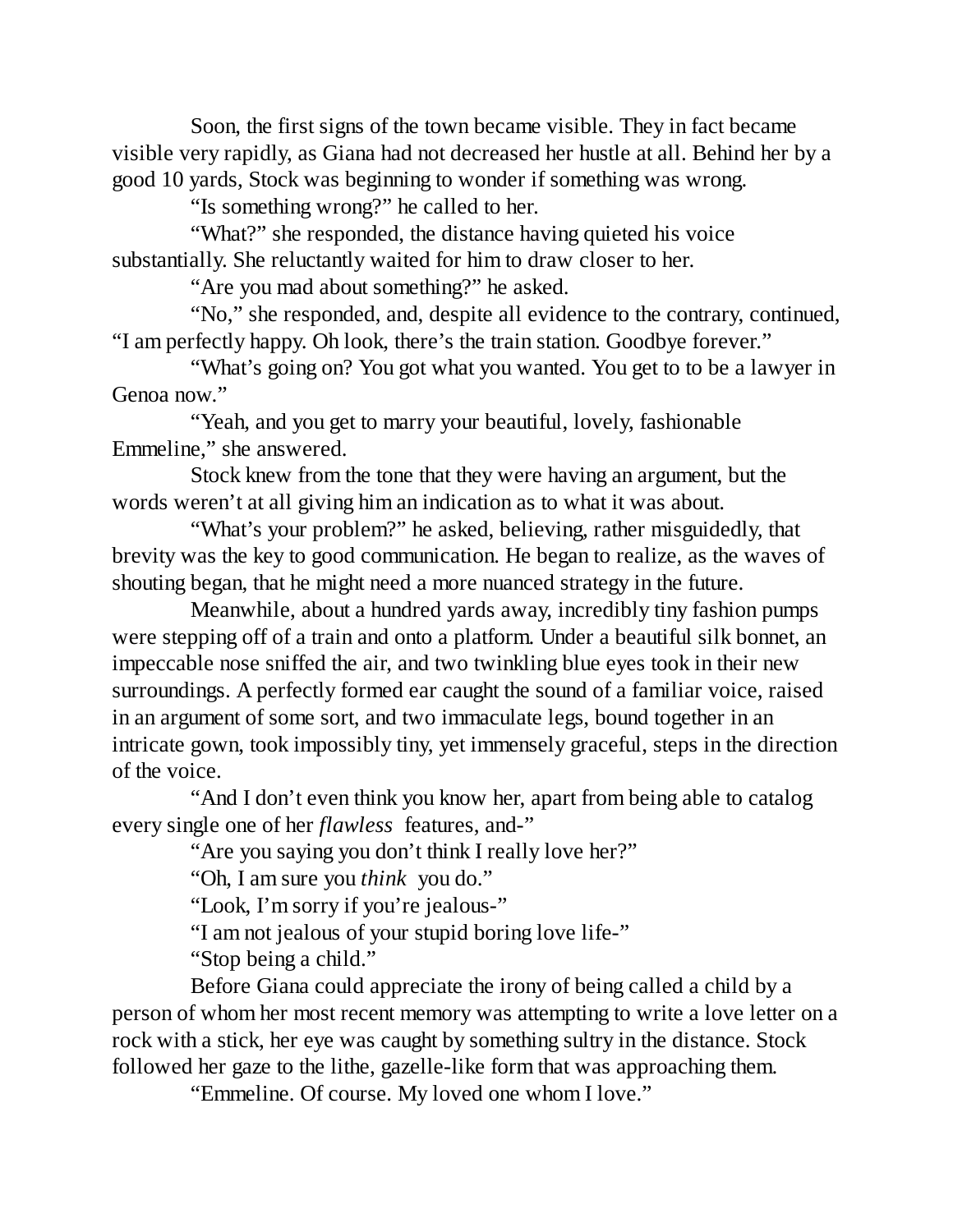Soon, the first signs of the town became visible. They in fact became visible very rapidly, as Giana had not decreased her hustle at all. Behind her by a good 10 yards, Stock was beginning to wonder if something was wrong.

"Is something wrong?" he called to her.

"What?" she responded, the distance having quieted his voice substantially. She reluctantly waited for him to draw closer to her.

"Are you mad about something?" he asked.

"No," she responded, and, despite all evidence to the contrary, continued, "I am perfectly happy. Oh look, there's the train station. Goodbye forever."

"What's going on? You got what you wanted. You get to to be a lawyer in Genoa now."

"Yeah, and you get to marry your beautiful, lovely, fashionable Emmeline," she answered.

Stock knew from the tone that they were having an argument, but the words weren't at all giving him an indication as to what it was about.

"What's your problem?" he asked, believing, rather misguidedly, that brevity was the key to good communication. He began to realize, as the waves of shouting began, that he might need a more nuanced strategy in the future.

Meanwhile, about a hundred yards away, incredibly tiny fashion pumps were stepping off of a train and onto a platform. Under a beautiful silk bonnet, an impeccable nose sniffed the air, and two twinkling blue eyes took in their new surroundings. A perfectly formed ear caught the sound of a familiar voice, raised in an argument of some sort, and two immaculate legs, bound together in an intricate gown, took impossibly tiny, yet immensely graceful, steps in the direction of the voice.

"And I don't even think you know her, apart from being able to catalog every single one of her *flawless* features, and-"

"Are you saying you don't think I really love her?"

"Oh, I am sure you *think* you do."

"Look, I'm sorry if you're jealous-"

"I am not jealous of your stupid boring love life-"

"Stop being a child."

Before Giana could appreciate the irony of being called a child by a person of whom her most recent memory was attempting to write a love letter on a rock with a stick, her eye was caught by something sultry in the distance. Stock followed her gaze to the lithe, gazelle-like form that was approaching them.

"Emmeline. Of course. My loved one whom I love."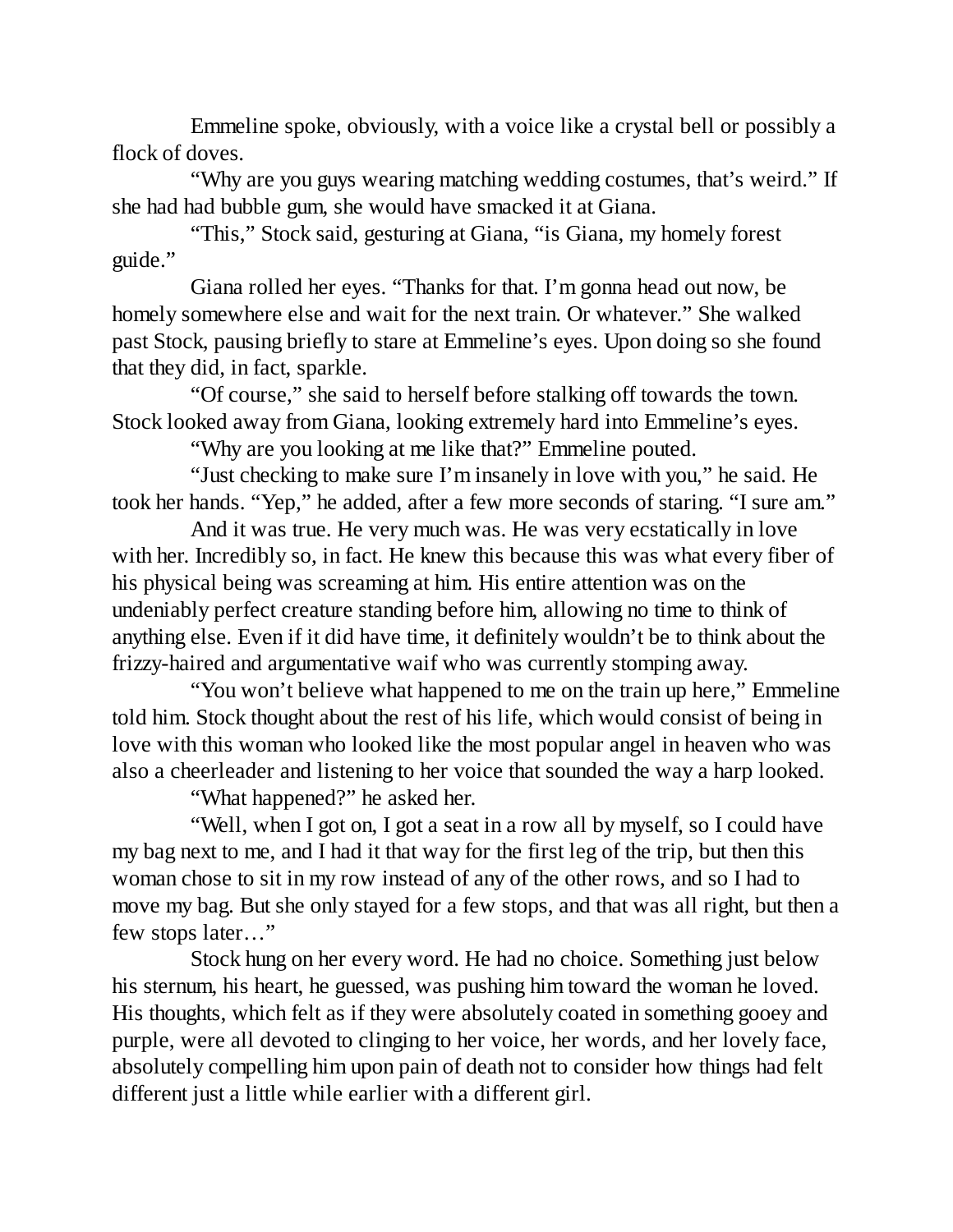Emmeline spoke, obviously, with a voice like a crystal bell or possibly a flock of doves.

"Why are you guys wearing matching wedding costumes, that's weird." If she had had bubble gum, she would have smacked it at Giana.

"This," Stock said, gesturing at Giana, "is Giana, my homely forest guide."

Giana rolled her eyes. "Thanks for that. I'm gonna head out now, be homely somewhere else and wait for the next train. Or whatever." She walked past Stock, pausing briefly to stare at Emmeline's eyes. Upon doing so she found that they did, in fact, sparkle.

"Of course," she said to herself before stalking off towards the town. Stock looked away from Giana, looking extremely hard into Emmeline's eyes.

"Why are you looking at me like that?" Emmeline pouted.

"Just checking to make sure I'm insanely in love with you," he said. He took her hands. "Yep," he added, after a few more seconds of staring. "I sure am."

And it was true. He very much was. He was very ecstatically in love with her. Incredibly so, in fact. He knew this because this was what every fiber of his physical being was screaming at him. His entire attention was on the undeniably perfect creature standing before him, allowing no time to think of anything else. Even if it did have time, it definitely wouldn't be to think about the frizzy-haired and argumentative waif who was currently stomping away.

"You won't believe what happened to me on the train up here," Emmeline told him. Stock thought about the rest of his life, which would consist of being in love with this woman who looked like the most popular angel in heaven who was also a cheerleader and listening to her voice that sounded the way a harp looked.

"What happened?" he asked her.

"Well, when I got on, I got a seat in a row all by myself, so I could have my bag next to me, and I had it that way for the first leg of the trip, but then this woman chose to sit in my row instead of any of the other rows, and so I had to move my bag. But she only stayed for a few stops, and that was all right, but then a few stops later…"

Stock hung on her every word. He had no choice. Something just below his sternum, his heart, he guessed, was pushing him toward the woman he loved. His thoughts, which felt as if they were absolutely coated in something gooey and purple, were all devoted to clinging to her voice, her words, and her lovely face, absolutely compelling him upon pain of death not to consider how things had felt different just a little while earlier with a different girl.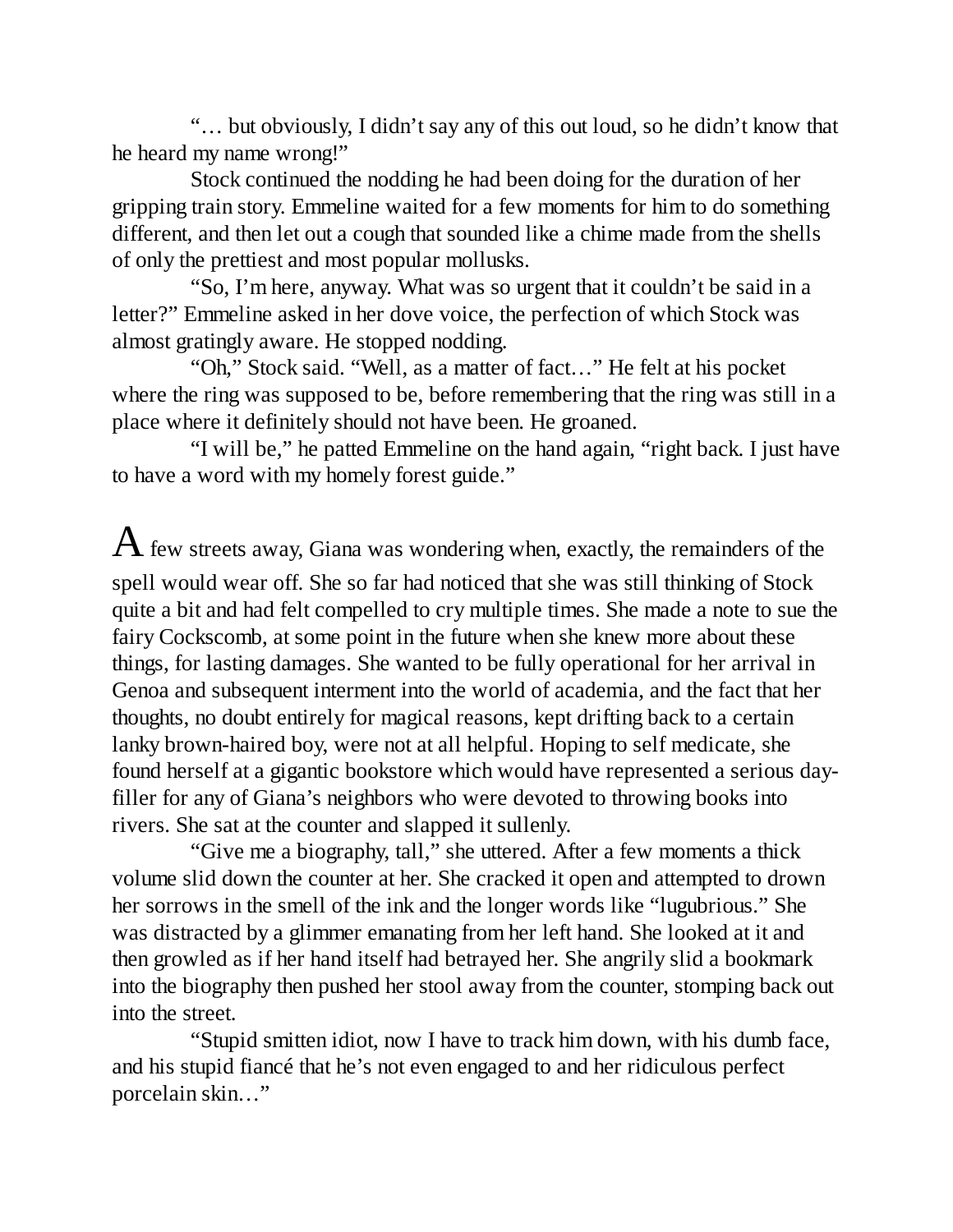"… but obviously, I didn't say any of this out loud, so he didn't know that he heard my name wrong!"

Stock continued the nodding he had been doing for the duration of her gripping train story. Emmeline waited for a few moments for him to do something different, and then let out a cough that sounded like a chime made from the shells of only the prettiest and most popular mollusks.

"So, I'm here, anyway. What was so urgent that it couldn't be said in a letter?" Emmeline asked in her dove voice, the perfection of which Stock was almost gratingly aware. He stopped nodding.

"Oh," Stock said. "Well, as a matter of fact…" He felt at his pocket where the ring was supposed to be, before remembering that the ring was still in a place where it definitely should not have been. He groaned.

"I will be," he patted Emmeline on the hand again, "right back. I just have to have a word with my homely forest guide."

 ${\rm A}$  few streets away, Giana was wondering when, exactly, the remainders of the spell would wear off. She so far had noticed that she was still thinking of Stock quite a bit and had felt compelled to cry multiple times. She made a note to sue the fairy Cockscomb, at some point in the future when she knew more about these things, for lasting damages. She wanted to be fully operational for her arrival in Genoa and subsequent interment into the world of academia, and the fact that her thoughts, no doubt entirely for magical reasons, kept drifting back to a certain lanky brown-haired boy, were not at all helpful. Hoping to self medicate, she found herself at a gigantic bookstore which would have represented a serious dayfiller for any of Giana's neighbors who were devoted to throwing books into rivers. She sat at the counter and slapped it sullenly.

"Give me a biography, tall," she uttered. After a few moments a thick volume slid down the counter at her. She cracked it open and attempted to drown her sorrows in the smell of the ink and the longer words like "lugubrious." She was distracted by a glimmer emanating from her left hand. She looked at it and then growled as if her hand itself had betrayed her. She angrily slid a bookmark into the biography then pushed her stool away from the counter, stomping back out into the street.

"Stupid smitten idiot, now I have to track him down, with his dumb face, and his stupid fiancé that he's not even engaged to and her ridiculous perfect porcelain skin…"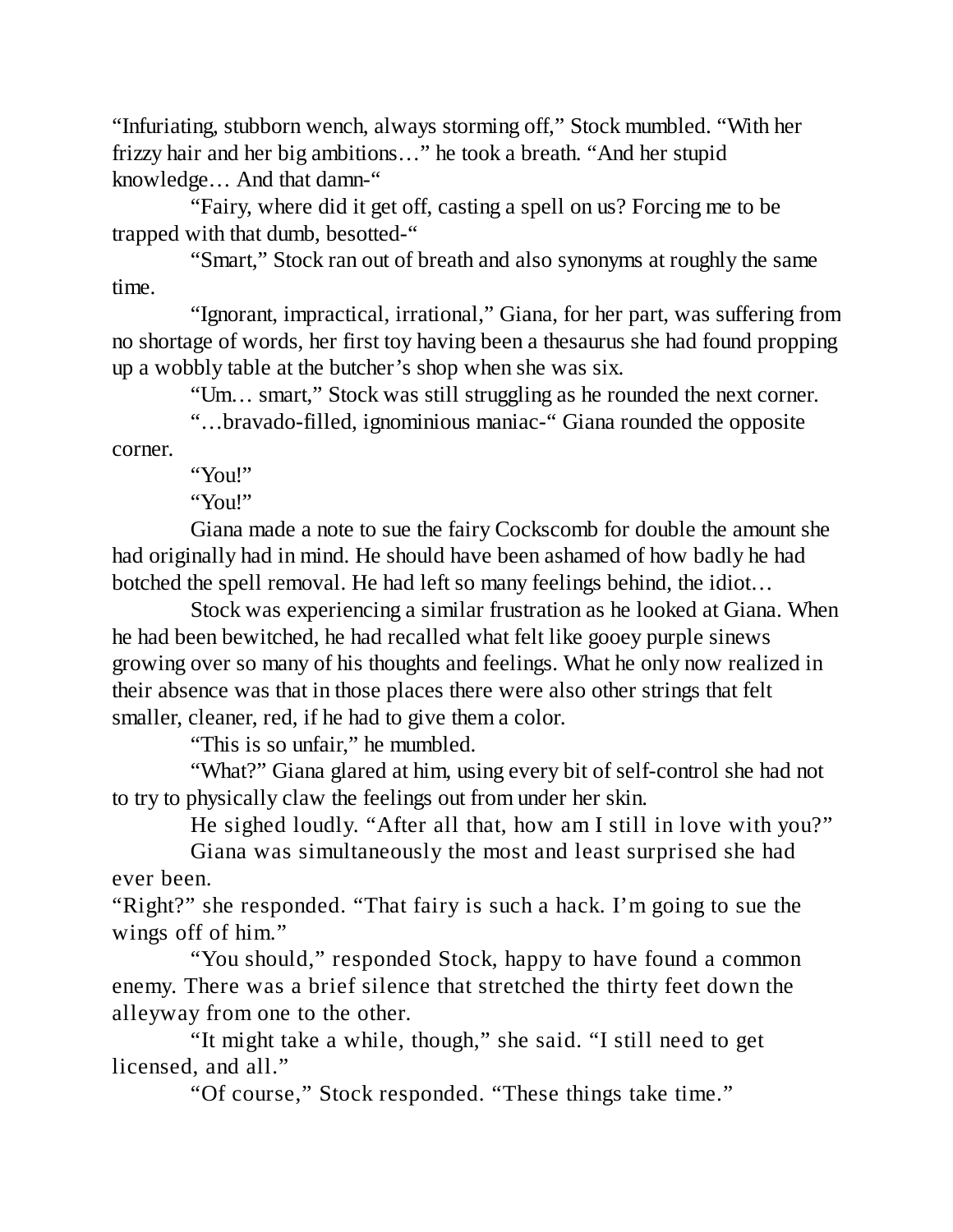"Infuriating, stubborn wench, always storming off," Stock mumbled. "With her frizzy hair and her big ambitions…" he took a breath. "And her stupid knowledge… And that damn-"

"Fairy, where did it get off, casting a spell on us? Forcing me to be trapped with that dumb, besotted-"

"Smart," Stock ran out of breath and also synonyms at roughly the same time.

"Ignorant, impractical, irrational," Giana, for her part, was suffering from no shortage of words, her first toy having been a thesaurus she had found propping up a wobbly table at the butcher's shop when she was six.

"Um… smart," Stock was still struggling as he rounded the next corner.

"…bravado-filled, ignominious maniac-" Giana rounded the opposite

corner.

"You!"

"You!"

Giana made a note to sue the fairy Cockscomb for double the amount she had originally had in mind. He should have been ashamed of how badly he had botched the spell removal. He had left so many feelings behind, the idiot…

Stock was experiencing a similar frustration as he looked at Giana. When he had been bewitched, he had recalled what felt like gooey purple sinews growing over so many of his thoughts and feelings. What he only now realized in their absence was that in those places there were also other strings that felt smaller, cleaner, red, if he had to give them a color.

"This is so unfair," he mumbled.

"What?" Giana glared at him, using every bit of self-control she had not to try to physically claw the feelings out from under her skin.

He sighed loudly. "After all that, how am I still in love with you?"

Giana was simultaneously the most and least surprised she had ever been.

"Right?" she responded. "That fairy is such a hack. I'm going to sue the wings off of him."

"You should," responded Stock, happy to have found a common enemy. There was a brief silence that stretched the thirty feet down the alleyway from one to the other.

"It might take a while, though," she said. "I still need to get licensed, and all."

"Of course," Stock responded. "These things take time."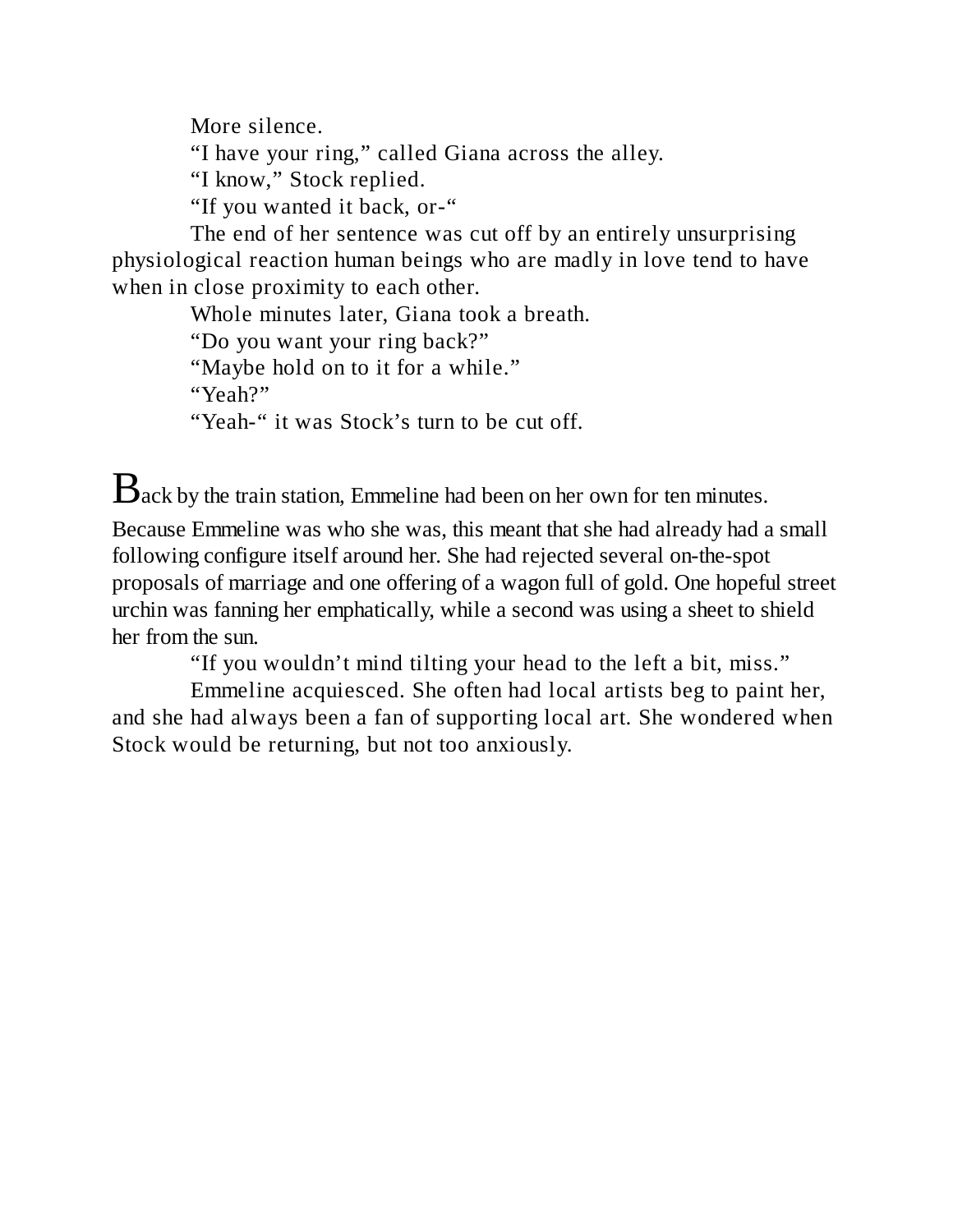More silence.

"I have your ring," called Giana across the alley.

"I know," Stock replied.

"If you wanted it back, or-"

The end of her sentence was cut off by an entirely unsurprising physiological reaction human beings who are madly in love tend to have when in close proximity to each other.

Whole minutes later, Giana took a breath.

"Do you want your ring back?"

"Maybe hold on to it for a while."

"Yeah?"

"Yeah-" it was Stock's turn to be cut off.

 $B$ ack by the train station, Emmeline had been on her own for ten minutes.

Because Emmeline was who she was, this meant that she had already had a small following configure itself around her. She had rejected several on-the-spot proposals of marriage and one offering of a wagon full of gold. One hopeful street urchin was fanning her emphatically, while a second was using a sheet to shield her from the sun.

"If you wouldn't mind tilting your head to the left a bit, miss."

Emmeline acquiesced. She often had local artists beg to paint her, and she had always been a fan of supporting local art. She wondered when Stock would be returning, but not too anxiously.